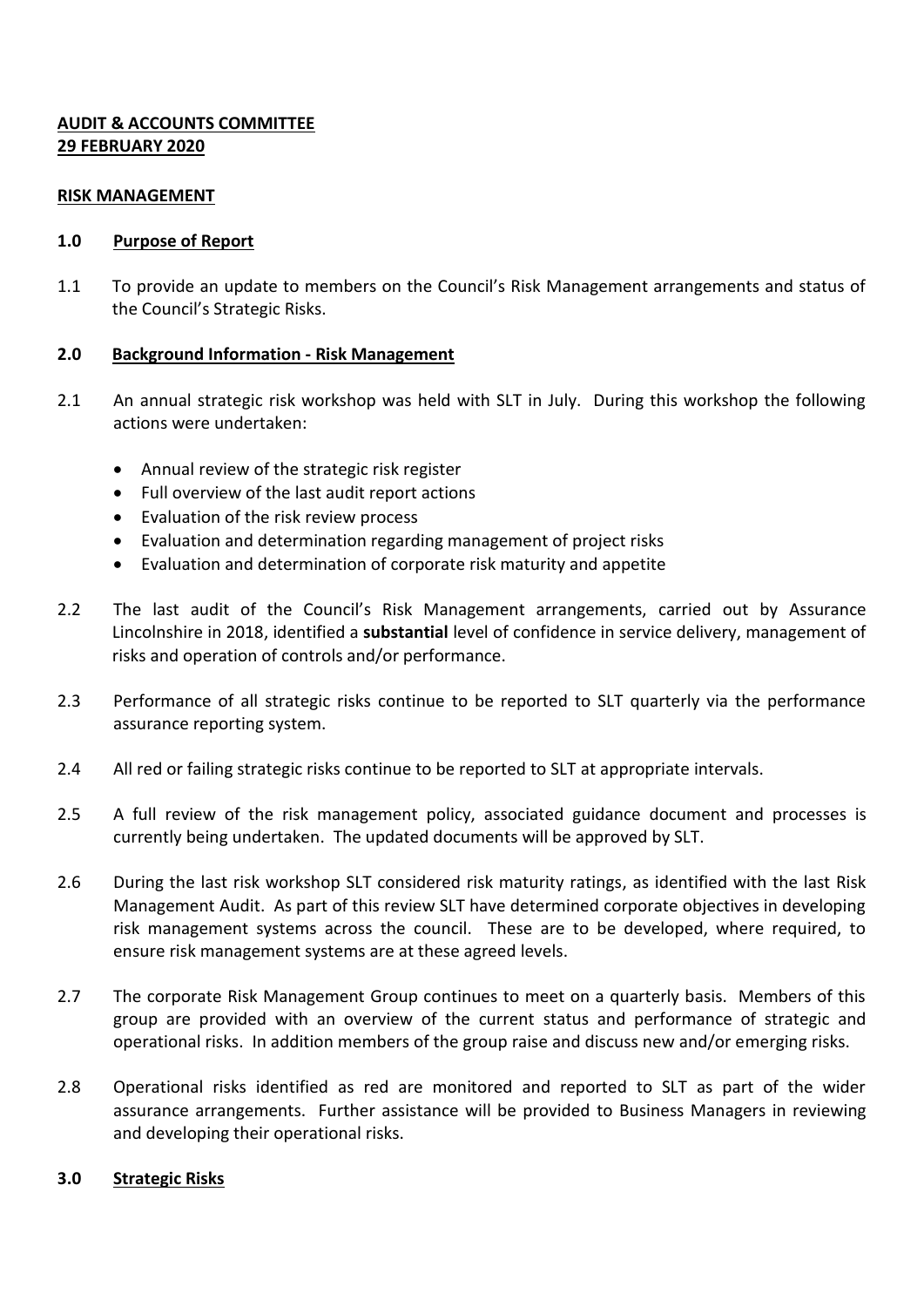# **AUDIT & ACCOUNTS COMMITTEE 29 FEBRUARY 2020**

### **RISK MANAGEMENT**

## **1.0 Purpose of Report**

1.1 To provide an update to members on the Council's Risk Management arrangements and status of the Council's Strategic Risks.

## **2.0 Background Information - Risk Management**

- 2.1 An annual strategic risk workshop was held with SLT in July. During this workshop the following actions were undertaken:
	- Annual review of the strategic risk register
	- Full overview of the last audit report actions
	- Evaluation of the risk review process
	- Evaluation and determination regarding management of project risks
	- Evaluation and determination of corporate risk maturity and appetite
- 2.2 The last audit of the Council's Risk Management arrangements, carried out by Assurance Lincolnshire in 2018, identified a **substantial** level of confidence in service delivery, management of risks and operation of controls and/or performance.
- 2.3 Performance of all strategic risks continue to be reported to SLT quarterly via the performance assurance reporting system.
- 2.4 All red or failing strategic risks continue to be reported to SLT at appropriate intervals.
- 2.5 A full review of the risk management policy, associated guidance document and processes is currently being undertaken. The updated documents will be approved by SLT.
- 2.6 During the last risk workshop SLT considered risk maturity ratings, as identified with the last Risk Management Audit. As part of this review SLT have determined corporate objectives in developing risk management systems across the council. These are to be developed, where required, to ensure risk management systems are at these agreed levels.
- 2.7 The corporate Risk Management Group continues to meet on a quarterly basis. Members of this group are provided with an overview of the current status and performance of strategic and operational risks. In addition members of the group raise and discuss new and/or emerging risks.
- 2.8 Operational risks identified as red are monitored and reported to SLT as part of the wider assurance arrangements. Further assistance will be provided to Business Managers in reviewing and developing their operational risks.

### **3.0 Strategic Risks**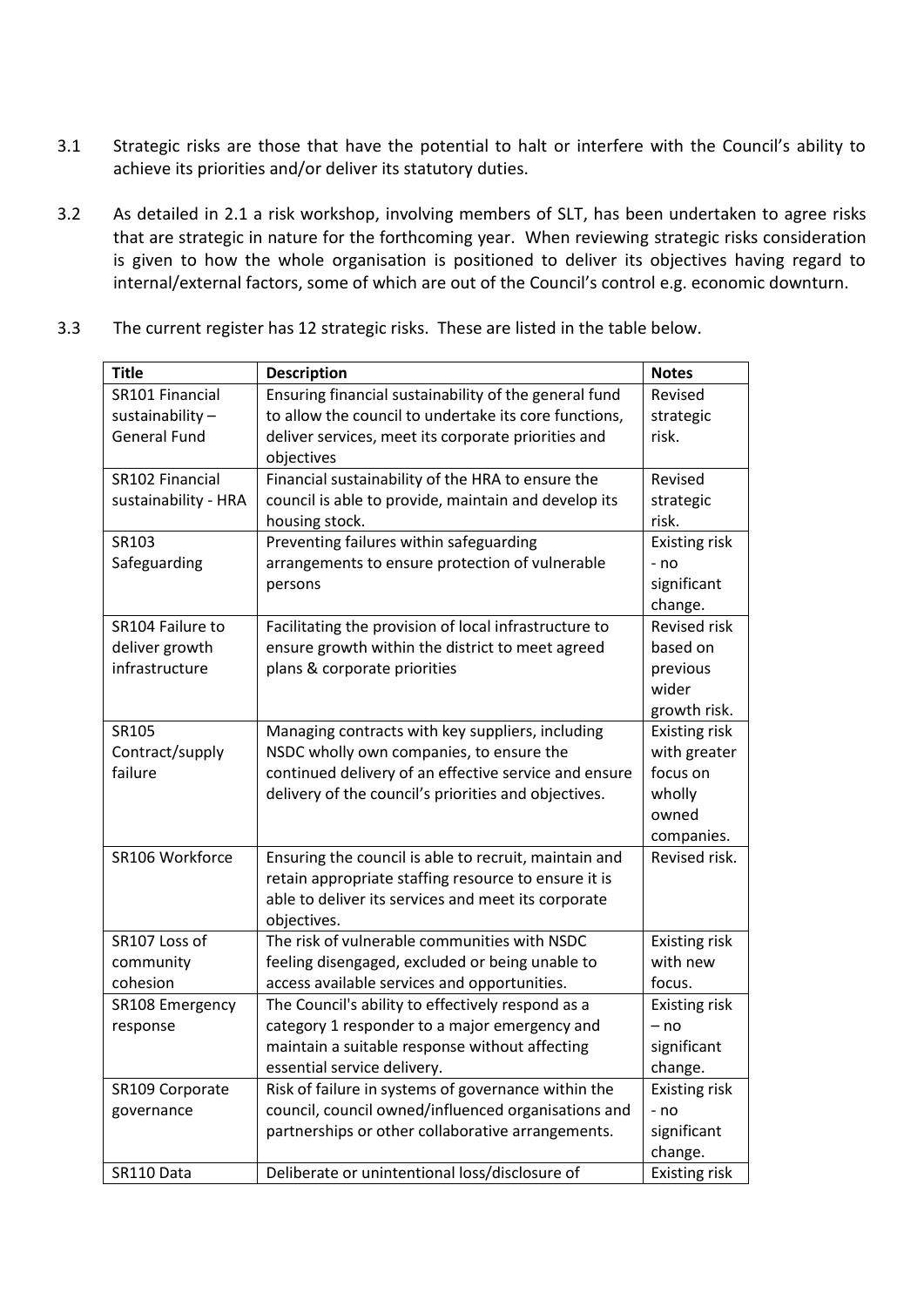- 3.1 Strategic risks are those that have the potential to halt or interfere with the Council's ability to achieve its priorities and/or deliver its statutory duties.
- 3.2 As detailed in 2.1 a risk workshop, involving members of SLT, has been undertaken to agree risks that are strategic in nature for the forthcoming year. When reviewing strategic risks consideration is given to how the whole organisation is positioned to deliver its objectives having regard to internal/external factors, some of which are out of the Council's control e.g. economic downturn.
	- **Title Description Notes** SR101 Financial sustainability – General Fund Ensuring financial sustainability of the general fund to allow the council to undertake its core functions, deliver services, meet its corporate priorities and objectives Revised strategic risk. SR102 Financial sustainability - HRA Financial sustainability of the HRA to ensure the council is able to provide, maintain and develop its housing stock. Revised strategic risk. SR103 Safeguarding Preventing failures within safeguarding arrangements to ensure protection of vulnerable persons Existing risk - no significant change. SR104 Failure to deliver growth infrastructure Facilitating the provision of local infrastructure to ensure growth within the district to meet agreed plans & corporate priorities Revised risk based on previous wider growth risk. SR105 Contract/supply failure Managing contracts with key suppliers, including NSDC wholly own companies, to ensure the continued delivery of an effective service and ensure delivery of the council's priorities and objectives. Existing risk with greater focus on wholly owned companies.  $SR106$  Workforce  $\parallel$  Ensuring the council is able to recruit, maintain and retain appropriate staffing resource to ensure it is able to deliver its services and meet its corporate objectives. Revised risk. SR107 Loss of community cohesion The risk of vulnerable communities with NSDC feeling disengaged, excluded or being unable to access available services and opportunities. Existing risk with new focus. SR108 Emergency response The Council's ability to effectively respond as a category 1 responder to a major emergency and maintain a suitable response without affecting essential service delivery. Existing risk – no significant change. SR109 Corporate governance Risk of failure in systems of governance within the council, council owned/influenced organisations and Existing risk - no

partnerships or other collaborative arrangements.

SR110 Data Deliberate or unintentional loss/disclosure of Existing risk

significant change.

3.3 The current register has 12 strategic risks. These are listed in the table below.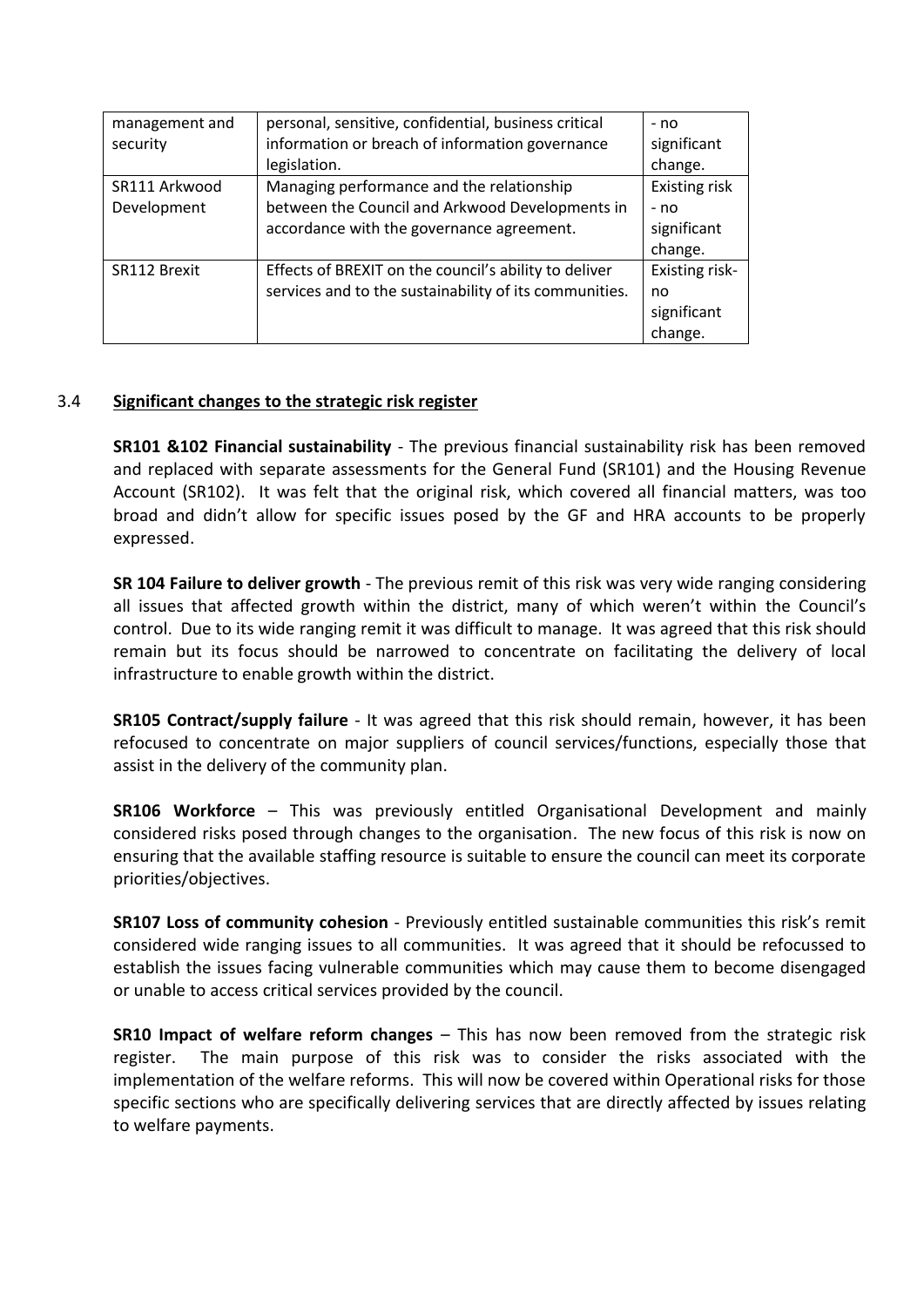| management and | personal, sensitive, confidential, business critical   | - no                  |
|----------------|--------------------------------------------------------|-----------------------|
| security       | information or breach of information governance        | significant           |
|                | legislation.                                           | change.               |
| SR111 Arkwood  | Managing performance and the relationship              | Existing risk         |
| Development    | between the Council and Arkwood Developments in        | - no                  |
|                | accordance with the governance agreement.              | significant           |
|                |                                                        | change.               |
| SR112 Brexit   | Effects of BREXIT on the council's ability to deliver  | <b>Existing risk-</b> |
|                | services and to the sustainability of its communities. | no                    |
|                |                                                        | significant           |
|                |                                                        | change.               |

## 3.4 **Significant changes to the strategic risk register**

**SR101 &102 Financial sustainability** - The previous financial sustainability risk has been removed and replaced with separate assessments for the General Fund (SR101) and the Housing Revenue Account (SR102). It was felt that the original risk, which covered all financial matters, was too broad and didn't allow for specific issues posed by the GF and HRA accounts to be properly expressed.

**SR 104 Failure to deliver growth** - The previous remit of this risk was very wide ranging considering all issues that affected growth within the district, many of which weren't within the Council's control. Due to its wide ranging remit it was difficult to manage. It was agreed that this risk should remain but its focus should be narrowed to concentrate on facilitating the delivery of local infrastructure to enable growth within the district.

**SR105 Contract/supply failure** - It was agreed that this risk should remain, however, it has been refocused to concentrate on major suppliers of council services/functions, especially those that assist in the delivery of the community plan.

**SR106 Workforce** – This was previously entitled Organisational Development and mainly considered risks posed through changes to the organisation. The new focus of this risk is now on ensuring that the available staffing resource is suitable to ensure the council can meet its corporate priorities/objectives.

**SR107 Loss of community cohesion** - Previously entitled sustainable communities this risk's remit considered wide ranging issues to all communities. It was agreed that it should be refocussed to establish the issues facing vulnerable communities which may cause them to become disengaged or unable to access critical services provided by the council.

**SR10 Impact of welfare reform changes** – This has now been removed from the strategic risk register. The main purpose of this risk was to consider the risks associated with the implementation of the welfare reforms. This will now be covered within Operational risks for those specific sections who are specifically delivering services that are directly affected by issues relating to welfare payments.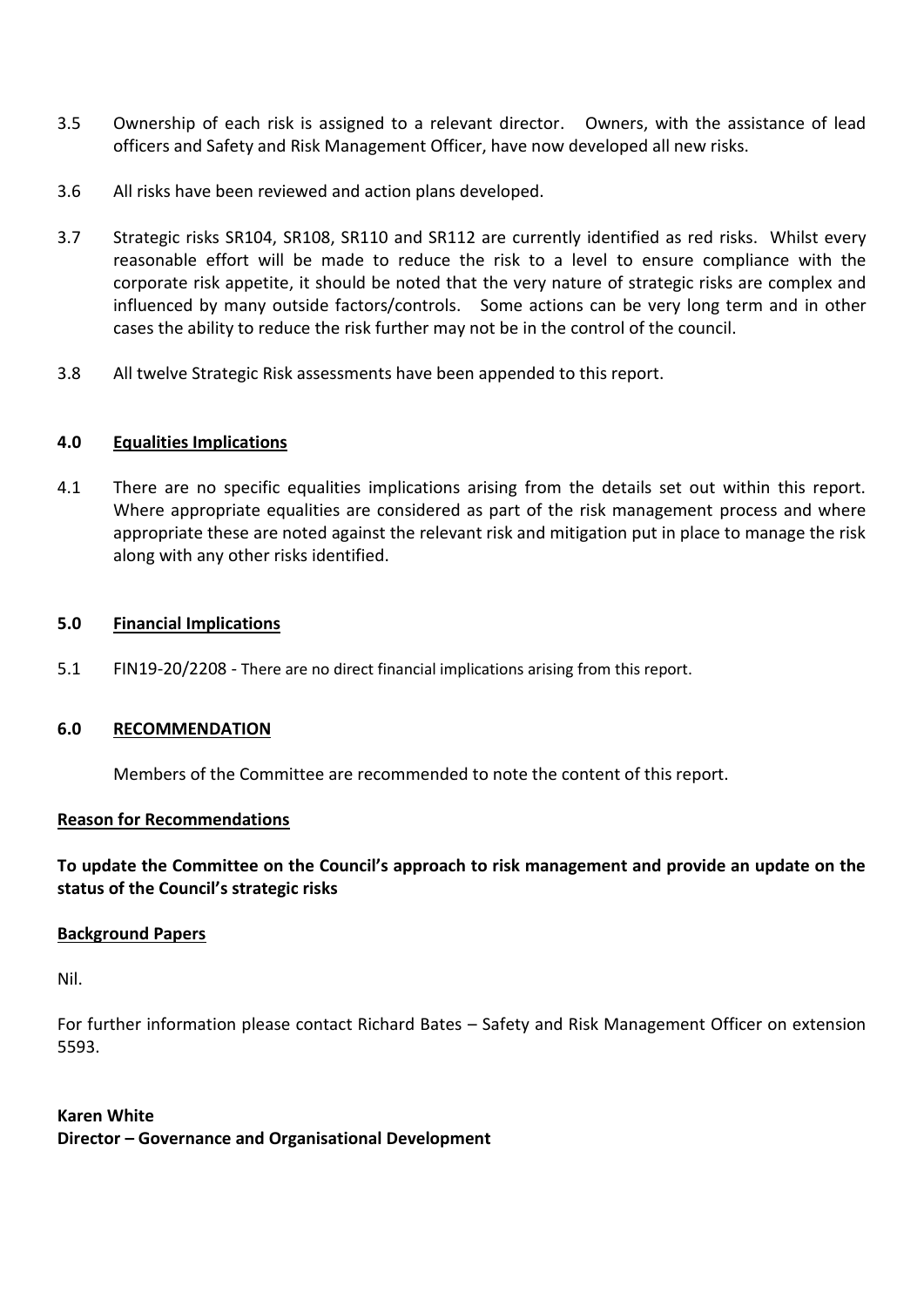- 3.5 Ownership of each risk is assigned to a relevant director. Owners, with the assistance of lead officers and Safety and Risk Management Officer, have now developed all new risks.
- 3.6 All risks have been reviewed and action plans developed.
- 3.7 Strategic risks SR104, SR108, SR110 and SR112 are currently identified as red risks. Whilst every reasonable effort will be made to reduce the risk to a level to ensure compliance with the corporate risk appetite, it should be noted that the very nature of strategic risks are complex and influenced by many outside factors/controls. Some actions can be very long term and in other cases the ability to reduce the risk further may not be in the control of the council.
- 3.8 All twelve Strategic Risk assessments have been appended to this report.

## **4.0 Equalities Implications**

4.1 There are no specific equalities implications arising from the details set out within this report. Where appropriate equalities are considered as part of the risk management process and where appropriate these are noted against the relevant risk and mitigation put in place to manage the risk along with any other risks identified.

## **5.0 Financial Implications**

5.1 FIN19-20/2208 - There are no direct financial implications arising from this report.

### **6.0 RECOMMENDATION**

Members of the Committee are recommended to note the content of this report.

### **Reason for Recommendations**

**To update the Committee on the Council's approach to risk management and provide an update on the status of the Council's strategic risks**

### **Background Papers**

Nil.

For further information please contact Richard Bates – Safety and Risk Management Officer on extension 5593.

**Karen White Director – Governance and Organisational Development**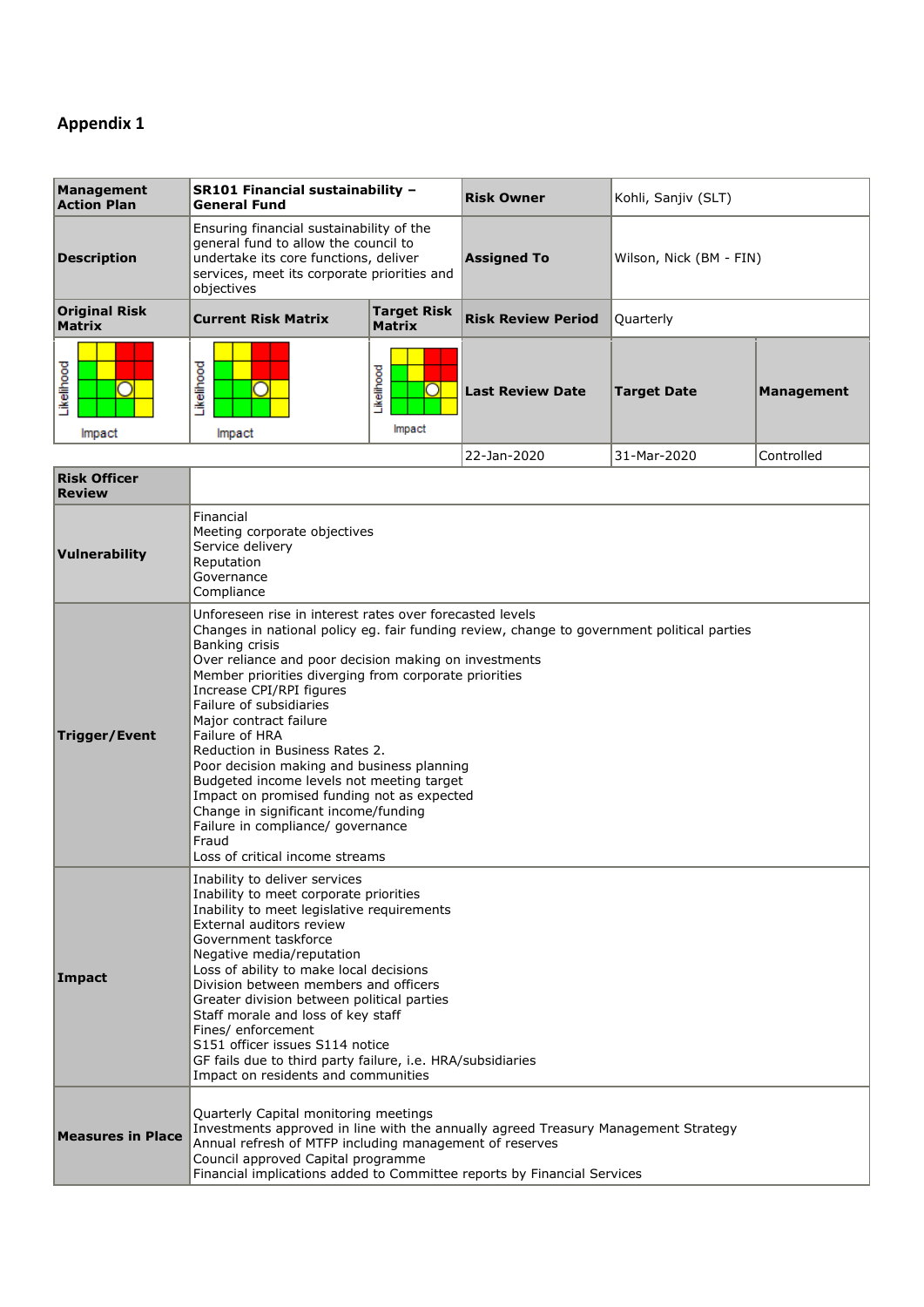# **Appendix 1**

| Management<br><b>Action Plan</b> | SR101 Financial sustainability -<br><b>General Fund</b>                                                                                                                                |                                     | Risk Owner                | Kohli, Sanjiv (SLT)     |                   |
|----------------------------------|----------------------------------------------------------------------------------------------------------------------------------------------------------------------------------------|-------------------------------------|---------------------------|-------------------------|-------------------|
| <b>Description</b>               | Ensuring financial sustainability of the<br>general fund to allow the council to<br>undertake its core functions, deliver<br>services, meet its corporate priorities and<br>objectives |                                     | <b>Assigned To</b>        | Wilson, Nick (BM - FIN) |                   |
| Original Risk<br><b>Matrix</b>   | <b>Current Risk Matrix</b>                                                                                                                                                             | <b>Target Risk</b><br><b>Matrix</b> | <b>Risk Review Period</b> | Quarterly               |                   |
| ikelihood<br>Impact              | ikelihood<br>Impact                                                                                                                                                                    | Likelihood<br>Impact                | <b>Last Review Date</b>   | <b>Target Date</b>      | <b>Management</b> |
|                                  |                                                                                                                                                                                        |                                     | 22-Jan-2020               | 31-Mar-2020             | Controlled        |

| <b>Risk Officer</b><br><b>Review</b> |                                                                                                                                                                                                                                                                                                                                                                                                                                                                                                                                                                                                                                                                                                   |
|--------------------------------------|---------------------------------------------------------------------------------------------------------------------------------------------------------------------------------------------------------------------------------------------------------------------------------------------------------------------------------------------------------------------------------------------------------------------------------------------------------------------------------------------------------------------------------------------------------------------------------------------------------------------------------------------------------------------------------------------------|
| Vulnerability                        | Financial<br>Meeting corporate objectives<br>Service delivery<br>Reputation<br>Governance<br>Compliance                                                                                                                                                                                                                                                                                                                                                                                                                                                                                                                                                                                           |
| Trigger/Event                        | Unforeseen rise in interest rates over forecasted levels<br>Changes in national policy eg. fair funding review, change to government political parties<br>Banking crisis<br>Over reliance and poor decision making on investments<br>Member priorities diverging from corporate priorities<br>Increase CPI/RPI figures<br>Failure of subsidiaries<br>Major contract failure<br>Failure of HRA<br>Reduction in Business Rates 2.<br>Poor decision making and business planning<br>Budgeted income levels not meeting target<br>Impact on promised funding not as expected<br>Change in significant income/funding<br>Failure in compliance/ governance<br>Fraud<br>Loss of critical income streams |
| Impact                               | Inability to deliver services<br>Inability to meet corporate priorities<br>Inability to meet legislative requirements<br>External auditors review<br>Government taskforce<br>Negative media/reputation<br>Loss of ability to make local decisions<br>Division between members and officers<br>Greater division between political parties<br>Staff morale and loss of key staff<br>Fines/ enforcement<br>S151 officer issues S114 notice<br>GF fails due to third party failure, i.e. HRA/subsidiaries<br>Impact on residents and communities                                                                                                                                                      |
| <b>Measures in Place</b>             | Quarterly Capital monitoring meetings<br>Investments approved in line with the annually agreed Treasury Management Strategy<br>Annual refresh of MTFP including management of reserves<br>Council approved Capital programme<br>Financial implications added to Committee reports by Financial Services                                                                                                                                                                                                                                                                                                                                                                                           |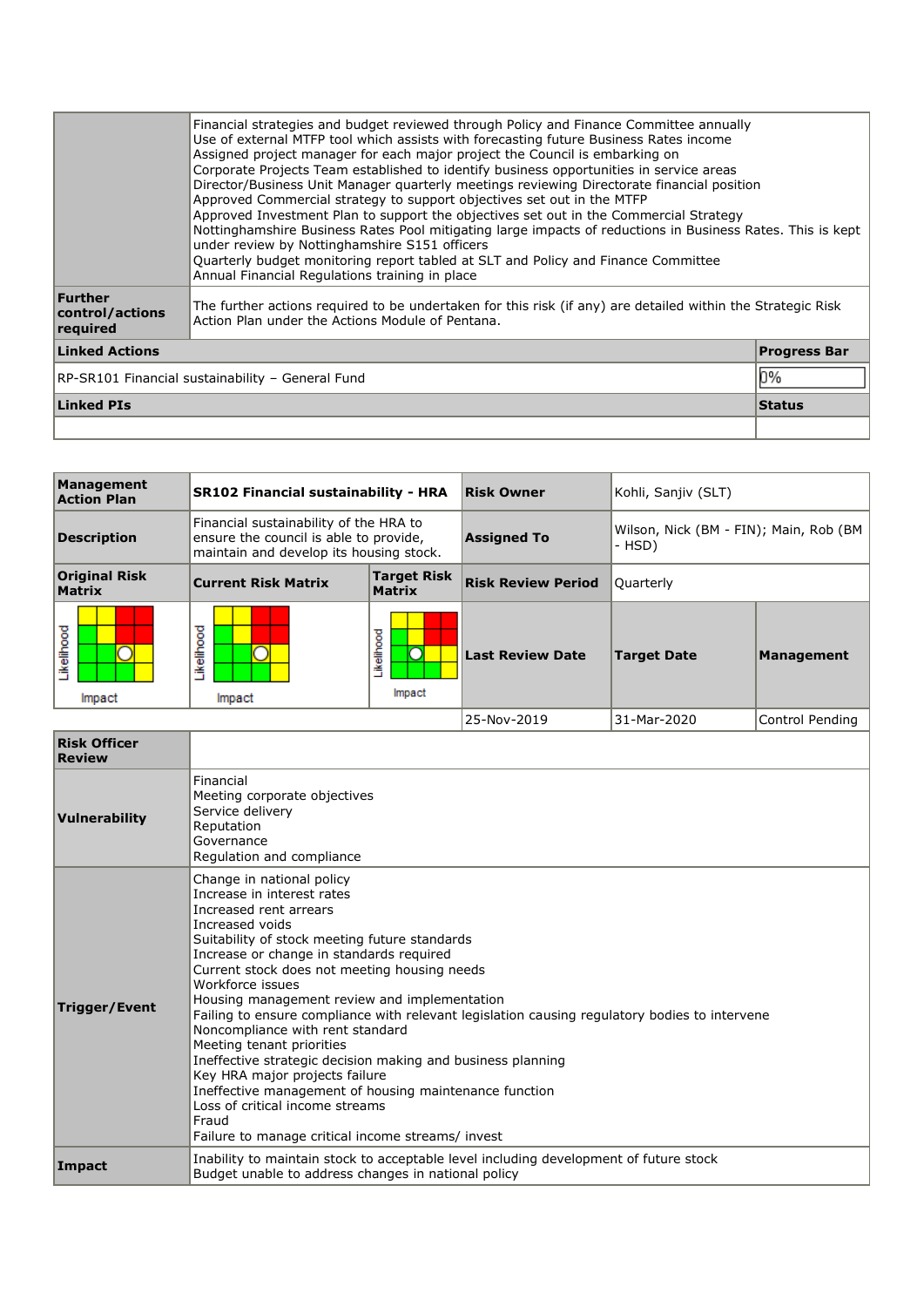| Management<br><b>Action Plan</b>      | <b>SR102 Financial sustainability - HRA</b>                                                                                 |                              | <b>Risk Owner</b>         | Kohli, Sanjiv (SLT)                                |                   |
|---------------------------------------|-----------------------------------------------------------------------------------------------------------------------------|------------------------------|---------------------------|----------------------------------------------------|-------------------|
| <b>Description</b>                    | Financial sustainability of the HRA to<br>ensure the council is able to provide,<br>maintain and develop its housing stock. |                              | <b>Assigned To</b>        | Wilson, Nick (BM - FIN); Main, Rob (BM  <br>- HSD) |                   |
| <b>Original Risk</b><br><b>Matrix</b> | <b>Current Risk Matrix</b>                                                                                                  | <b>Target Risk</b><br>Matrix | <b>Risk Review Period</b> | Ouarterly                                          |                   |
| .ikelihood<br>Impact                  | ikelihood<br>Impact                                                                                                         | Likelihood<br>Impact         | <b>Last Review Date</b>   | <b>Target Date</b>                                 | <b>Management</b> |
|                                       |                                                                                                                             |                              | 25-Nov-2019               | 31-Mar-2020                                        | Control Pending   |

| <b>Risk Officer</b><br><b>Review</b> |                                                                                                                                                                                                                                                                                                                                                                                                                                                                                                                                                                                                                                                                                                                                                     |
|--------------------------------------|-----------------------------------------------------------------------------------------------------------------------------------------------------------------------------------------------------------------------------------------------------------------------------------------------------------------------------------------------------------------------------------------------------------------------------------------------------------------------------------------------------------------------------------------------------------------------------------------------------------------------------------------------------------------------------------------------------------------------------------------------------|
| Vulnerability                        | Financial<br>Meeting corporate objectives<br>Service delivery<br>Reputation<br>Governance<br>Regulation and compliance                                                                                                                                                                                                                                                                                                                                                                                                                                                                                                                                                                                                                              |
| <b>Trigger/Event</b>                 | Change in national policy<br>Increase in interest rates<br>Increased rent arrears<br>Increased voids<br>Suitability of stock meeting future standards<br>Increase or change in standards required<br>Current stock does not meeting housing needs<br>Workforce issues<br>Housing management review and implementation<br>Failing to ensure compliance with relevant legislation causing regulatory bodies to intervene<br>Noncompliance with rent standard<br>Meeting tenant priorities<br>Ineffective strategic decision making and business planning<br>Key HRA major projects failure<br>Ineffective management of housing maintenance function<br>Loss of critical income streams<br>Fraud<br>Failure to manage critical income streams/ invest |
| Impact                               | Inability to maintain stock to acceptable level including development of future stock<br>Budget unable to address changes in national policy                                                                                                                                                                                                                                                                                                                                                                                                                                                                                                                                                                                                        |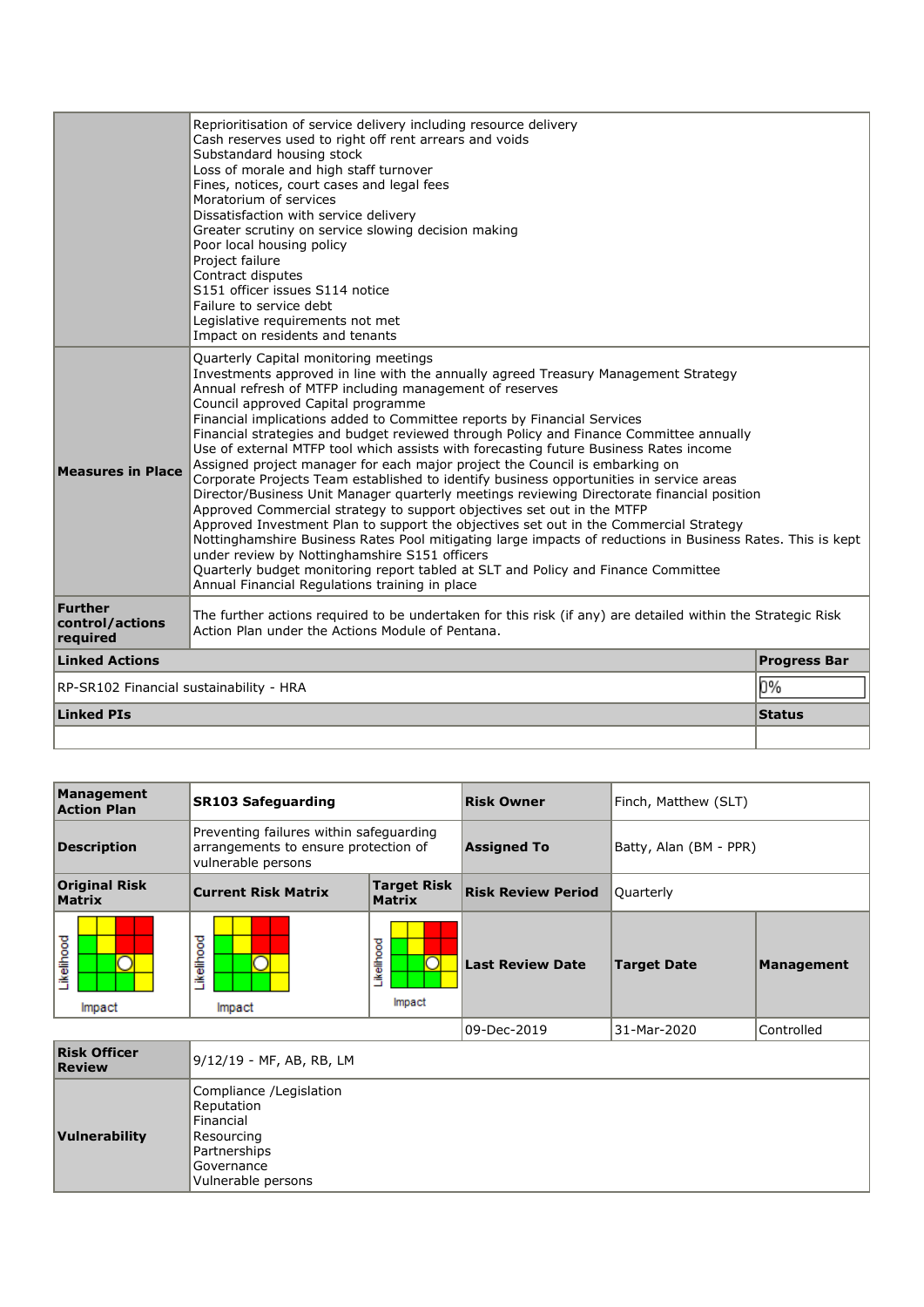|                                         | Reprioritisation of service delivery including resource delivery<br>Cash reserves used to right off rent arrears and voids                                                            |                     |  |  |  |
|-----------------------------------------|---------------------------------------------------------------------------------------------------------------------------------------------------------------------------------------|---------------------|--|--|--|
|                                         | Substandard housing stock                                                                                                                                                             |                     |  |  |  |
|                                         | Loss of morale and high staff turnover                                                                                                                                                |                     |  |  |  |
|                                         | Fines, notices, court cases and legal fees                                                                                                                                            |                     |  |  |  |
|                                         | Moratorium of services                                                                                                                                                                |                     |  |  |  |
|                                         | Dissatisfaction with service delivery                                                                                                                                                 |                     |  |  |  |
|                                         | Greater scrutiny on service slowing decision making                                                                                                                                   |                     |  |  |  |
|                                         | Poor local housing policy                                                                                                                                                             |                     |  |  |  |
|                                         | Project failure                                                                                                                                                                       |                     |  |  |  |
|                                         | Contract disputes                                                                                                                                                                     |                     |  |  |  |
|                                         | S151 officer issues S114 notice                                                                                                                                                       |                     |  |  |  |
|                                         | Failure to service debt                                                                                                                                                               |                     |  |  |  |
|                                         | Legislative requirements not met                                                                                                                                                      |                     |  |  |  |
|                                         | Impact on residents and tenants                                                                                                                                                       |                     |  |  |  |
|                                         | Quarterly Capital monitoring meetings                                                                                                                                                 |                     |  |  |  |
|                                         | Investments approved in line with the annually agreed Treasury Management Strategy                                                                                                    |                     |  |  |  |
|                                         | Annual refresh of MTFP including management of reserves                                                                                                                               |                     |  |  |  |
|                                         | Council approved Capital programme                                                                                                                                                    |                     |  |  |  |
|                                         | Financial implications added to Committee reports by Financial Services                                                                                                               |                     |  |  |  |
|                                         | Financial strategies and budget reviewed through Policy and Finance Committee annually                                                                                                |                     |  |  |  |
|                                         | Use of external MTFP tool which assists with forecasting future Business Rates income                                                                                                 |                     |  |  |  |
| <b>Measures in Place</b>                | Assigned project manager for each major project the Council is embarking on                                                                                                           |                     |  |  |  |
|                                         | Corporate Projects Team established to identify business opportunities in service areas<br>Director/Business Unit Manager quarterly meetings reviewing Directorate financial position |                     |  |  |  |
|                                         | Approved Commercial strategy to support objectives set out in the MTFP                                                                                                                |                     |  |  |  |
|                                         | Approved Investment Plan to support the objectives set out in the Commercial Strategy                                                                                                 |                     |  |  |  |
|                                         | Nottinghamshire Business Rates Pool mitigating large impacts of reductions in Business Rates. This is kept                                                                            |                     |  |  |  |
|                                         | under review by Nottinghamshire S151 officers                                                                                                                                         |                     |  |  |  |
|                                         | Quarterly budget monitoring report tabled at SLT and Policy and Finance Committee                                                                                                     |                     |  |  |  |
|                                         | Annual Financial Regulations training in place                                                                                                                                        |                     |  |  |  |
| Further                                 |                                                                                                                                                                                       |                     |  |  |  |
| control/actions                         | The further actions required to be undertaken for this risk (if any) are detailed within the Strategic Risk<br>Action Plan under the Actions Module of Pentana.                       |                     |  |  |  |
| reauired                                |                                                                                                                                                                                       |                     |  |  |  |
| <b>Linked Actions</b>                   |                                                                                                                                                                                       | <b>Progress Bar</b> |  |  |  |
| RP-SR102 Financial sustainability - HRA |                                                                                                                                                                                       | 0%                  |  |  |  |
| <b>Linked PIs</b>                       |                                                                                                                                                                                       | <b>Status</b>       |  |  |  |
|                                         |                                                                                                                                                                                       |                     |  |  |  |

| Management<br><b>Action Plan</b>      | <b>SR103 Safeguarding</b>                                                                                            |                                             | <b>Risk Owner</b>         | Finch, Matthew (SLT)   |                   |
|---------------------------------------|----------------------------------------------------------------------------------------------------------------------|---------------------------------------------|---------------------------|------------------------|-------------------|
| <b>Description</b>                    | Preventing failures within safeguarding<br>arrangements to ensure protection of<br>vulnerable persons                |                                             | <b>Assigned To</b>        | Batty, Alan (BM - PPR) |                   |
| <b>Original Risk</b><br><b>Matrix</b> | <b>Target Risk</b><br><b>Current Risk Matrix</b><br><b>Matrix</b>                                                    |                                             | <b>Risk Review Period</b> | Quarterly              |                   |
| <b>ikelihood</b><br>Impact            | Likelihood<br>Impact                                                                                                 | Likelihood<br>$\overline{\rm{C}}$<br>Impact | <b>Last Review Date</b>   | <b>Target Date</b>     | <b>Management</b> |
|                                       |                                                                                                                      |                                             | 09-Dec-2019               | 31-Mar-2020            | Controlled        |
| <b>Risk Officer</b><br><b>Review</b>  | 9/12/19 - MF, AB, RB, LM                                                                                             |                                             |                           |                        |                   |
| Vulnerability                         | Compliance /Legislation<br>Reputation<br>Financial<br>Resourcing<br>Partnerships<br>Governance<br>Vulnerable persons |                                             |                           |                        |                   |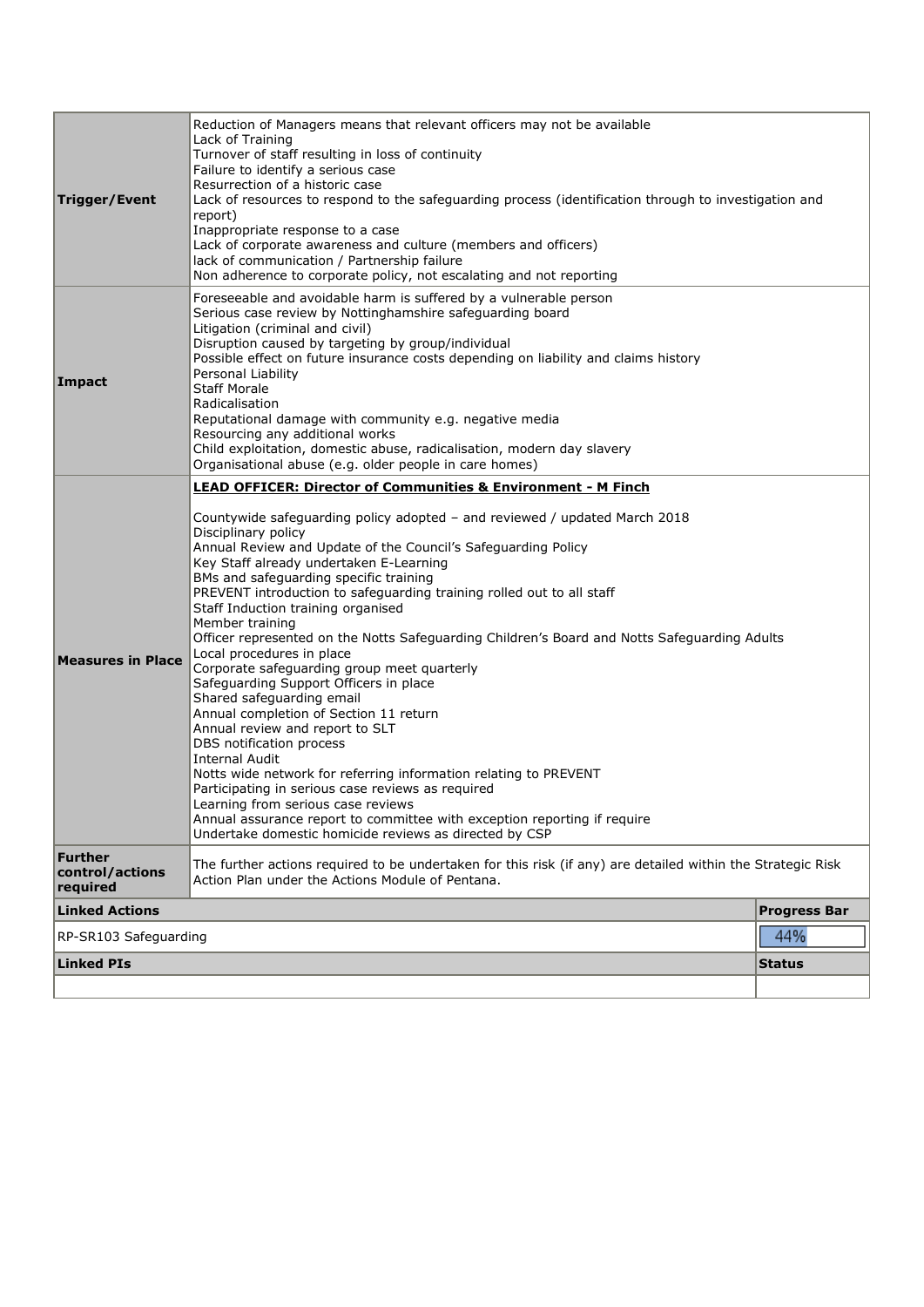|                                        | Reduction of Managers means that relevant officers may not be available<br>Lack of Training                                                                                                                                                                                                                                                                                                                                                                                                                                                                                                                                                                                                                                                                                                                                                                                                                                                                                                                                                                                                                                                                     |                     |  |  |  |  |
|----------------------------------------|-----------------------------------------------------------------------------------------------------------------------------------------------------------------------------------------------------------------------------------------------------------------------------------------------------------------------------------------------------------------------------------------------------------------------------------------------------------------------------------------------------------------------------------------------------------------------------------------------------------------------------------------------------------------------------------------------------------------------------------------------------------------------------------------------------------------------------------------------------------------------------------------------------------------------------------------------------------------------------------------------------------------------------------------------------------------------------------------------------------------------------------------------------------------|---------------------|--|--|--|--|
| Trigger/Event                          | Turnover of staff resulting in loss of continuity<br>Failure to identify a serious case<br>Resurrection of a historic case<br>Lack of resources to respond to the safeguarding process (identification through to investigation and<br>report)<br>Inappropriate response to a case<br>Lack of corporate awareness and culture (members and officers)<br>lack of communication / Partnership failure                                                                                                                                                                                                                                                                                                                                                                                                                                                                                                                                                                                                                                                                                                                                                             |                     |  |  |  |  |
| Impact                                 | Non adherence to corporate policy, not escalating and not reporting<br>Foreseeable and avoidable harm is suffered by a vulnerable person<br>Serious case review by Nottinghamshire safeguarding board<br>Litigation (criminal and civil)<br>Disruption caused by targeting by group/individual<br>Possible effect on future insurance costs depending on liability and claims history<br>Personal Liability<br><b>Staff Morale</b><br>Radicalisation<br>Reputational damage with community e.g. negative media<br>Resourcing any additional works<br>Child exploitation, domestic abuse, radicalisation, modern day slavery<br>Organisational abuse (e.g. older people in care homes)                                                                                                                                                                                                                                                                                                                                                                                                                                                                           |                     |  |  |  |  |
| <b>Measures in Place</b>               | <b>LEAD OFFICER: Director of Communities &amp; Environment - M Finch</b><br>Countywide safeguarding policy adopted - and reviewed / updated March 2018<br>Disciplinary policy<br>Annual Review and Update of the Council's Safeguarding Policy<br>Key Staff already undertaken E-Learning<br>BMs and safeguarding specific training<br>PREVENT introduction to safeguarding training rolled out to all staff<br>Staff Induction training organised<br>Member training<br>Officer represented on the Notts Safeguarding Children's Board and Notts Safeguarding Adults<br>Local procedures in place<br>Corporate safeguarding group meet quarterly<br>Safeguarding Support Officers in place<br>Shared safeguarding email<br>Annual completion of Section 11 return<br>Annual review and report to SLT<br>DBS notification process<br><b>Internal Audit</b><br>Notts wide network for referring information relating to PREVENT<br>Participating in serious case reviews as required<br>Learning from serious case reviews<br>Annual assurance report to committee with exception reporting if require<br>Undertake domestic homicide reviews as directed by CSP |                     |  |  |  |  |
| Further<br>control/actions<br>required | The further actions required to be undertaken for this risk (if any) are detailed within the Strategic Risk<br>Action Plan under the Actions Module of Pentana.                                                                                                                                                                                                                                                                                                                                                                                                                                                                                                                                                                                                                                                                                                                                                                                                                                                                                                                                                                                                 |                     |  |  |  |  |
| <b>Linked Actions</b>                  |                                                                                                                                                                                                                                                                                                                                                                                                                                                                                                                                                                                                                                                                                                                                                                                                                                                                                                                                                                                                                                                                                                                                                                 | <b>Progress Bar</b> |  |  |  |  |
| RP-SR103 Safeguarding                  |                                                                                                                                                                                                                                                                                                                                                                                                                                                                                                                                                                                                                                                                                                                                                                                                                                                                                                                                                                                                                                                                                                                                                                 | 44%                 |  |  |  |  |
| <b>Linked PIs</b><br><b>Status</b>     |                                                                                                                                                                                                                                                                                                                                                                                                                                                                                                                                                                                                                                                                                                                                                                                                                                                                                                                                                                                                                                                                                                                                                                 |                     |  |  |  |  |
|                                        |                                                                                                                                                                                                                                                                                                                                                                                                                                                                                                                                                                                                                                                                                                                                                                                                                                                                                                                                                                                                                                                                                                                                                                 |                     |  |  |  |  |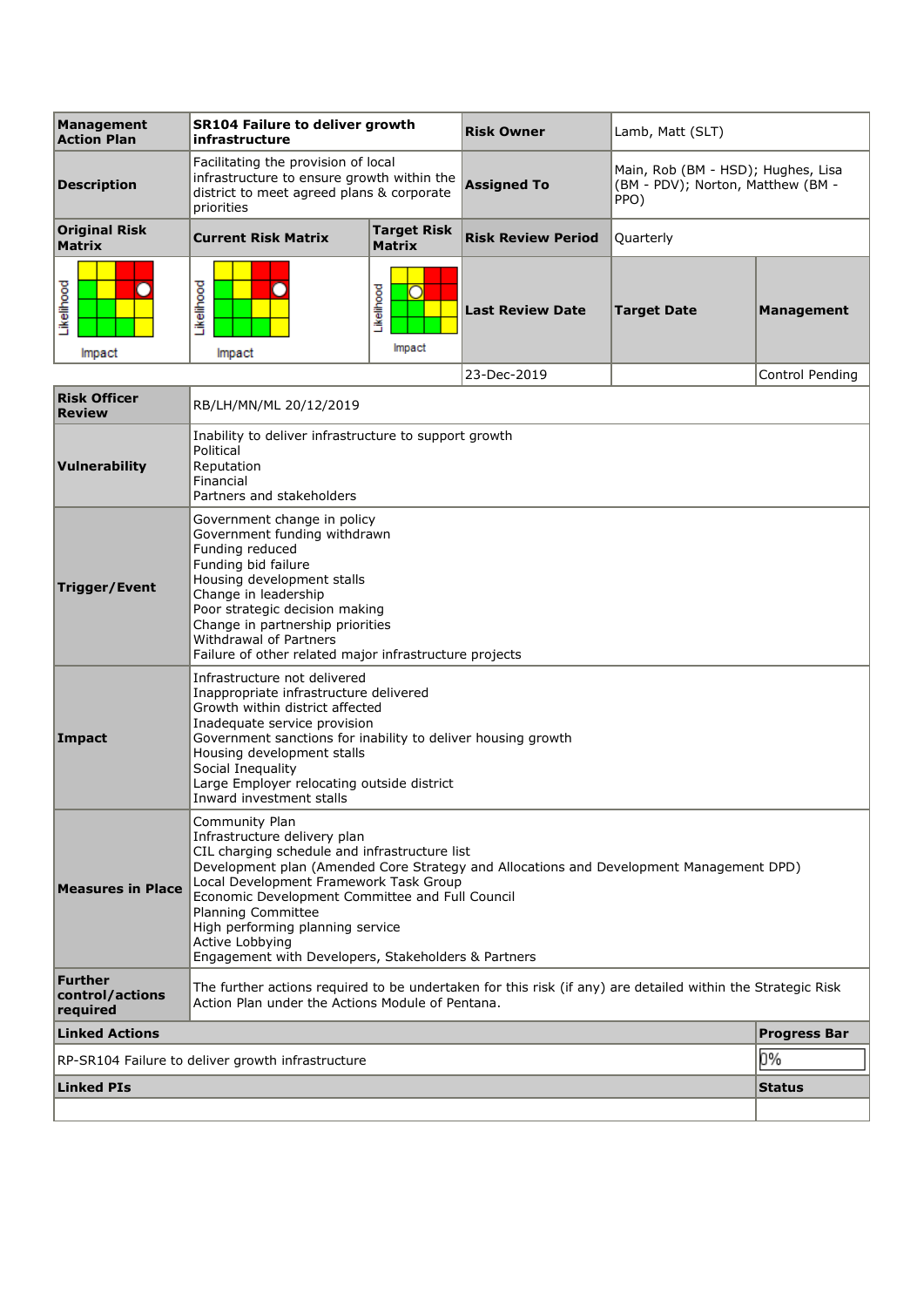| Management<br><b>Action Plan</b>              | <b>SR104 Failure to deliver growth</b><br>infrastructure                                                                                                                                                                                                                                                                                                                                                                    |                                            | <b>Risk Owner</b>         | Lamb, Matt (SLT)                                                                |                     |
|-----------------------------------------------|-----------------------------------------------------------------------------------------------------------------------------------------------------------------------------------------------------------------------------------------------------------------------------------------------------------------------------------------------------------------------------------------------------------------------------|--------------------------------------------|---------------------------|---------------------------------------------------------------------------------|---------------------|
| <b>Description</b>                            | Facilitating the provision of local<br>infrastructure to ensure growth within the<br>district to meet agreed plans & corporate<br>priorities                                                                                                                                                                                                                                                                                |                                            | <b>Assigned To</b>        | Main, Rob (BM - HSD); Hughes, Lisa<br>(BM - PDV); Norton, Matthew (BM -<br>PPO) |                     |
| <b>Original Risk</b><br><b>Matrix</b>         | <b>Current Risk Matrix</b>                                                                                                                                                                                                                                                                                                                                                                                                  | <b>Target Risk</b><br><b>Matrix</b>        | <b>Risk Review Period</b> | Quarterly                                                                       |                     |
| Likelihood                                    | Likelihood                                                                                                                                                                                                                                                                                                                                                                                                                  | Likelihood<br>$\overline{\rm O}$<br>Impact | <b>Last Review Date</b>   | <b>Target Date</b>                                                              | <b>Management</b>   |
| Impact                                        | Impact                                                                                                                                                                                                                                                                                                                                                                                                                      |                                            | 23-Dec-2019               |                                                                                 | Control Pending     |
| <b>Risk Officer</b>                           |                                                                                                                                                                                                                                                                                                                                                                                                                             |                                            |                           |                                                                                 |                     |
| <b>Review</b>                                 | RB/LH/MN/ML 20/12/2019                                                                                                                                                                                                                                                                                                                                                                                                      |                                            |                           |                                                                                 |                     |
| Vulnerability                                 | Inability to deliver infrastructure to support growth<br>Political<br>Reputation<br>Financial<br>Partners and stakeholders                                                                                                                                                                                                                                                                                                  |                                            |                           |                                                                                 |                     |
| <b>Trigger/Event</b>                          | Government change in policy<br>Government funding withdrawn<br>Funding reduced<br>Funding bid failure<br>Housing development stalls<br>Change in leadership<br>Poor strategic decision making<br>Change in partnership priorities<br>Withdrawal of Partners<br>Failure of other related major infrastructure projects                                                                                                       |                                            |                           |                                                                                 |                     |
| Impact                                        | Infrastructure not delivered<br>Inappropriate infrastructure delivered<br>Growth within district affected<br>Inadequate service provision<br>Government sanctions for inability to deliver housing growth<br>Housing development stalls<br>Social Inequality<br>Large Employer relocating outside district<br>Inward investment stalls                                                                                      |                                            |                           |                                                                                 |                     |
| <b>Measures in Place</b>                      | Community Plan<br>Infrastructure delivery plan<br>CIL charging schedule and infrastructure list<br>Development plan (Amended Core Strategy and Allocations and Development Management DPD)<br>Local Development Framework Task Group<br>Economic Development Committee and Full Council<br>Planning Committee<br>High performing planning service<br>Active Lobbying<br>Engagement with Developers, Stakeholders & Partners |                                            |                           |                                                                                 |                     |
| <b>Further</b><br>control/actions<br>required | The further actions required to be undertaken for this risk (if any) are detailed within the Strategic Risk<br>Action Plan under the Actions Module of Pentana.                                                                                                                                                                                                                                                             |                                            |                           |                                                                                 |                     |
| <b>Linked Actions</b>                         |                                                                                                                                                                                                                                                                                                                                                                                                                             |                                            |                           |                                                                                 | <b>Progress Bar</b> |
|                                               | RP-SR104 Failure to deliver growth infrastructure                                                                                                                                                                                                                                                                                                                                                                           |                                            |                           |                                                                                 | 0%                  |
| <b>Linked PIs</b>                             |                                                                                                                                                                                                                                                                                                                                                                                                                             |                                            |                           |                                                                                 | <b>Status</b>       |
|                                               |                                                                                                                                                                                                                                                                                                                                                                                                                             |                                            |                           |                                                                                 |                     |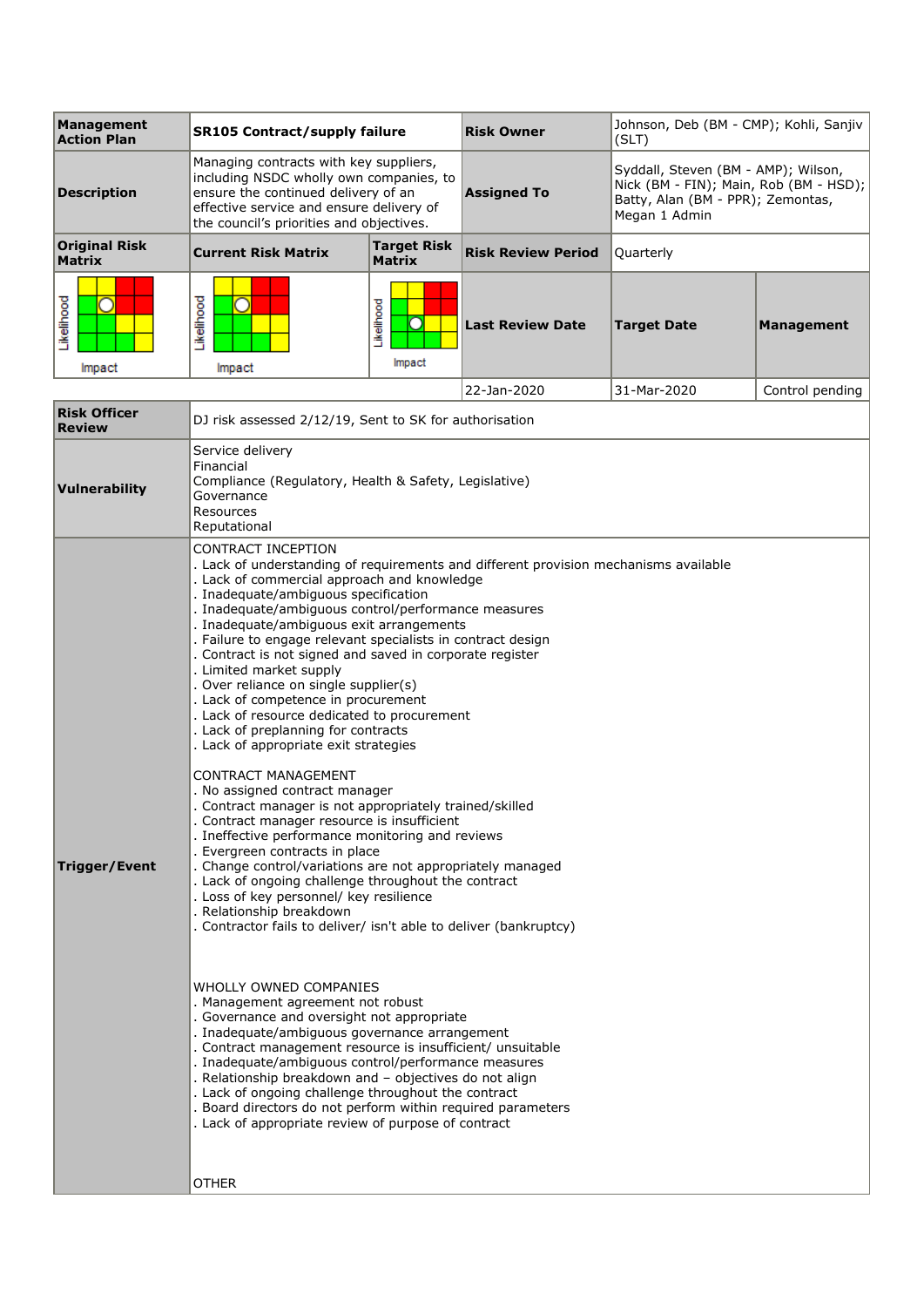| <b>Management</b><br><b>Action Plan</b> | <b>SR105 Contract/supply failure</b>                                                                                                                                                                                                                                                                                                                                                                                                                                                                                                                                                                                                                                                                                                                                                                                                                                                                                                                                                                                                                                                                                                                                                                                                                                                                                                                                                                                                                                                                                                                                                                                                                                                                                         |                                     | <b>Risk Owner</b>         | Johnson, Deb (BM - CMP); Kohli, Sanjiv<br>(SLT)                                                                                     |                   |
|-----------------------------------------|------------------------------------------------------------------------------------------------------------------------------------------------------------------------------------------------------------------------------------------------------------------------------------------------------------------------------------------------------------------------------------------------------------------------------------------------------------------------------------------------------------------------------------------------------------------------------------------------------------------------------------------------------------------------------------------------------------------------------------------------------------------------------------------------------------------------------------------------------------------------------------------------------------------------------------------------------------------------------------------------------------------------------------------------------------------------------------------------------------------------------------------------------------------------------------------------------------------------------------------------------------------------------------------------------------------------------------------------------------------------------------------------------------------------------------------------------------------------------------------------------------------------------------------------------------------------------------------------------------------------------------------------------------------------------------------------------------------------------|-------------------------------------|---------------------------|-------------------------------------------------------------------------------------------------------------------------------------|-------------------|
| <b>Description</b>                      | Managing contracts with key suppliers,<br>including NSDC wholly own companies, to<br>ensure the continued delivery of an<br>effective service and ensure delivery of<br>the council's priorities and objectives.                                                                                                                                                                                                                                                                                                                                                                                                                                                                                                                                                                                                                                                                                                                                                                                                                                                                                                                                                                                                                                                                                                                                                                                                                                                                                                                                                                                                                                                                                                             |                                     | <b>Assigned To</b>        | Syddall, Steven (BM - AMP); Wilson,<br>Nick (BM - FIN); Main, Rob (BM - HSD);<br>Batty, Alan (BM - PPR); Zemontas,<br>Megan 1 Admin |                   |
| <b>Original Risk</b><br><b>Matrix</b>   | <b>Current Risk Matrix</b>                                                                                                                                                                                                                                                                                                                                                                                                                                                                                                                                                                                                                                                                                                                                                                                                                                                                                                                                                                                                                                                                                                                                                                                                                                                                                                                                                                                                                                                                                                                                                                                                                                                                                                   | <b>Target Risk</b><br><b>Matrix</b> | <b>Risk Review Period</b> | Quarterly                                                                                                                           |                   |
| Likelihood<br>۰<br>Impact               | Likelihood<br>$\cup$<br>Impact                                                                                                                                                                                                                                                                                                                                                                                                                                                                                                                                                                                                                                                                                                                                                                                                                                                                                                                                                                                                                                                                                                                                                                                                                                                                                                                                                                                                                                                                                                                                                                                                                                                                                               | Likelihood<br>$\Box$<br>Impact      | <b>Last Review Date</b>   | <b>Target Date</b>                                                                                                                  | <b>Management</b> |
|                                         |                                                                                                                                                                                                                                                                                                                                                                                                                                                                                                                                                                                                                                                                                                                                                                                                                                                                                                                                                                                                                                                                                                                                                                                                                                                                                                                                                                                                                                                                                                                                                                                                                                                                                                                              |                                     | 22-Jan-2020               | 31-Mar-2020                                                                                                                         | Control pending   |
| <b>Risk Officer</b><br><b>Review</b>    | DJ risk assessed 2/12/19, Sent to SK for authorisation                                                                                                                                                                                                                                                                                                                                                                                                                                                                                                                                                                                                                                                                                                                                                                                                                                                                                                                                                                                                                                                                                                                                                                                                                                                                                                                                                                                                                                                                                                                                                                                                                                                                       |                                     |                           |                                                                                                                                     |                   |
| Vulnerability                           | Service delivery<br>Financial<br>Compliance (Regulatory, Health & Safety, Legislative)<br>Governance<br>Resources<br>Reputational                                                                                                                                                                                                                                                                                                                                                                                                                                                                                                                                                                                                                                                                                                                                                                                                                                                                                                                                                                                                                                                                                                                                                                                                                                                                                                                                                                                                                                                                                                                                                                                            |                                     |                           |                                                                                                                                     |                   |
| Trigger/Event                           | CONTRACT INCEPTION<br>. Lack of understanding of requirements and different provision mechanisms available<br>. Lack of commercial approach and knowledge<br>. Inadequate/ambiguous specification<br>. Inadequate/ambiguous control/performance measures<br>. Inadequate/ambiguous exit arrangements<br>. Failure to engage relevant specialists in contract design<br>. Contract is not signed and saved in corporate register<br>. Limited market supply<br>. Over reliance on single supplier(s)<br>. Lack of competence in procurement<br>. Lack of resource dedicated to procurement<br>. Lack of preplanning for contracts<br>. Lack of appropriate exit strategies<br>CONTRACT MANAGEMENT<br>. No assigned contract manager<br>. Contract manager is not appropriately trained/skilled<br>. Contract manager resource is insufficient<br>. Ineffective performance monitoring and reviews<br>. Evergreen contracts in place<br>. Change control/variations are not appropriately managed<br>. Lack of ongoing challenge throughout the contract<br>. Loss of key personnel/ key resilience<br>. Relationship breakdown<br>. Contractor fails to deliver/ isn't able to deliver (bankruptcy)<br>WHOLLY OWNED COMPANIES<br>. Management agreement not robust<br>. Governance and oversight not appropriate<br>. Inadequate/ambiguous governance arrangement<br>. Contract management resource is insufficient/ unsuitable<br>. Inadequate/ambiguous control/performance measures<br>. Relationship breakdown and - objectives do not align<br>. Lack of ongoing challenge throughout the contract<br>. Board directors do not perform within required parameters<br>. Lack of appropriate review of purpose of contract |                                     |                           |                                                                                                                                     |                   |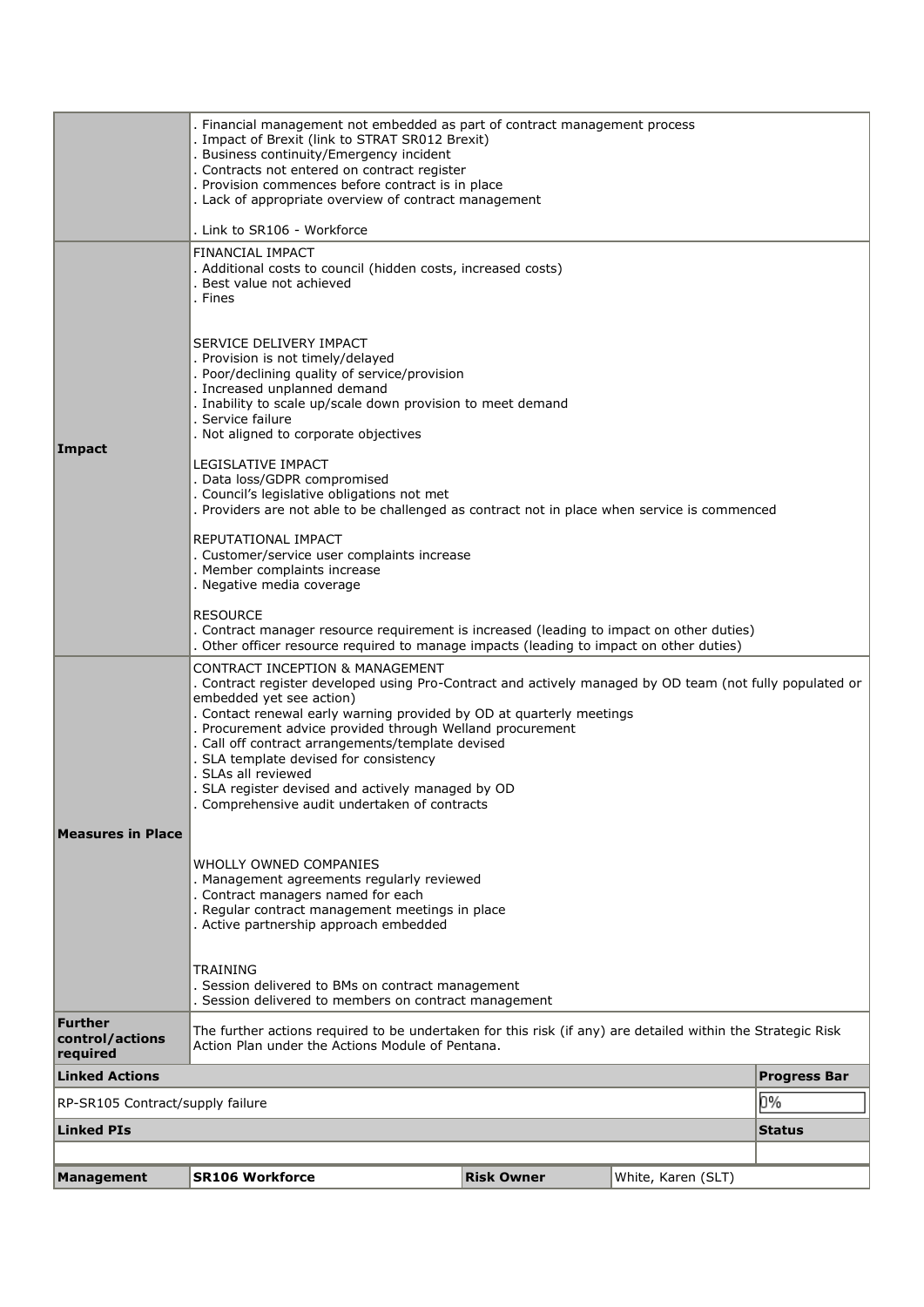|                                               | . Financial management not embedded as part of contract management process<br>. Impact of Brexit (link to STRAT SR012 Brexit)<br>. Business continuity/Emergency incident<br>. Contracts not entered on contract register<br>. Provision commences before contract is in place<br>. Lack of appropriate overview of contract management                                                                                                                                                                                                                                                                                                                                                                                  |                   |                    |                     |  |  |
|-----------------------------------------------|--------------------------------------------------------------------------------------------------------------------------------------------------------------------------------------------------------------------------------------------------------------------------------------------------------------------------------------------------------------------------------------------------------------------------------------------------------------------------------------------------------------------------------------------------------------------------------------------------------------------------------------------------------------------------------------------------------------------------|-------------------|--------------------|---------------------|--|--|
|                                               |                                                                                                                                                                                                                                                                                                                                                                                                                                                                                                                                                                                                                                                                                                                          |                   |                    |                     |  |  |
| <b>Impact</b>                                 | . Link to SR106 - Workforce<br>FINANCIAL IMPACT<br>. Additional costs to council (hidden costs, increased costs)<br>. Best value not achieved<br>. Fines<br>SERVICE DELIVERY IMPACT<br>. Provision is not timely/delayed<br>. Poor/declining quality of service/provision<br>. Increased unplanned demand<br>. Inability to scale up/scale down provision to meet demand<br>. Service failure<br>. Not aligned to corporate objectives<br><b>LEGISLATIVE IMPACT</b><br>. Data loss/GDPR compromised<br>. Council's legislative obligations not met<br>. Providers are not able to be challenged as contract not in place when service is commenced<br>REPUTATIONAL IMPACT<br>. Customer/service user complaints increase |                   |                    |                     |  |  |
|                                               | . Member complaints increase<br>. Negative media coverage<br><b>RESOURCE</b><br>. Contract manager resource requirement is increased (leading to impact on other duties)<br>. Other officer resource required to manage impacts (leading to impact on other duties)                                                                                                                                                                                                                                                                                                                                                                                                                                                      |                   |                    |                     |  |  |
|                                               | <b>CONTRACT INCEPTION &amp; MANAGEMENT</b><br>. Contract register developed using Pro-Contract and actively managed by OD team (not fully populated or<br>embedded yet see action)<br>. Contact renewal early warning provided by OD at quarterly meetings<br>. Procurement advice provided through Welland procurement<br>. Call off contract arrangements/template devised<br>. SLA template devised for consistency<br>. SLAs all reviewed<br>. SLA register devised and actively managed by OD<br>Comprehensive audit undertaken of contracts                                                                                                                                                                        |                   |                    |                     |  |  |
| <b>Measures in Place</b>                      | WHOLLY OWNED COMPANIES<br>. Management agreements regularly reviewed<br>. Contract managers named for each<br>. Regular contract management meetings in place<br>. Active partnership approach embedded                                                                                                                                                                                                                                                                                                                                                                                                                                                                                                                  |                   |                    |                     |  |  |
|                                               | <b>TRAINING</b><br>. Session delivered to BMs on contract management<br>. Session delivered to members on contract management                                                                                                                                                                                                                                                                                                                                                                                                                                                                                                                                                                                            |                   |                    |                     |  |  |
| <b>Further</b><br>control/actions<br>required | The further actions required to be undertaken for this risk (if any) are detailed within the Strategic Risk<br>Action Plan under the Actions Module of Pentana.                                                                                                                                                                                                                                                                                                                                                                                                                                                                                                                                                          |                   |                    |                     |  |  |
| <b>Linked Actions</b>                         |                                                                                                                                                                                                                                                                                                                                                                                                                                                                                                                                                                                                                                                                                                                          |                   |                    | <b>Progress Bar</b> |  |  |
| RP-SR105 Contract/supply failure              |                                                                                                                                                                                                                                                                                                                                                                                                                                                                                                                                                                                                                                                                                                                          |                   |                    | 0%                  |  |  |
| <b>Linked PIs</b>                             |                                                                                                                                                                                                                                                                                                                                                                                                                                                                                                                                                                                                                                                                                                                          |                   |                    | <b>Status</b>       |  |  |
|                                               |                                                                                                                                                                                                                                                                                                                                                                                                                                                                                                                                                                                                                                                                                                                          |                   |                    |                     |  |  |
| Management                                    | <b>SR106 Workforce</b>                                                                                                                                                                                                                                                                                                                                                                                                                                                                                                                                                                                                                                                                                                   | <b>Risk Owner</b> | White, Karen (SLT) |                     |  |  |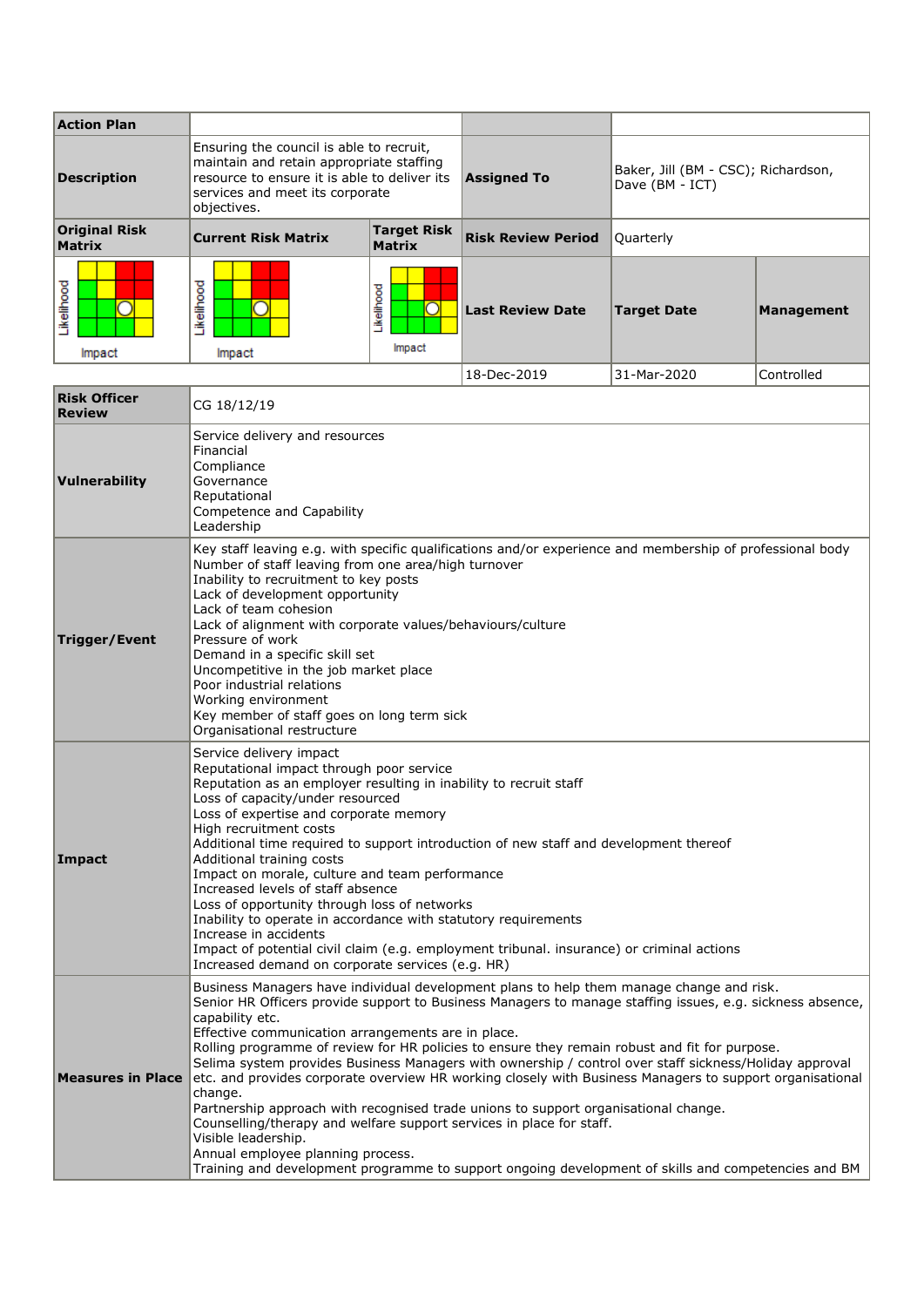| <b>Action Plan</b>             |                                                                                                                                                                                        |                              |                           |                                                        |            |
|--------------------------------|----------------------------------------------------------------------------------------------------------------------------------------------------------------------------------------|------------------------------|---------------------------|--------------------------------------------------------|------------|
| <b>Description</b>             | Ensuring the council is able to recruit,<br>maintain and retain appropriate staffing<br>resource to ensure it is able to deliver its<br>services and meet its corporate<br>objectives. |                              | <b>Assigned To</b>        | Baker, Jill (BM - CSC); Richardson,<br>Dave (BM - ICT) |            |
| Original Risk<br><b>Matrix</b> | <b>Current Risk Matrix</b>                                                                                                                                                             | <b>Target Risk</b><br>Matrix | <b>Risk Review Period</b> | Quarterly                                              |            |
| ikelihood<br>Impact            | ikelihood<br>Impact                                                                                                                                                                    | <b>ikelihood</b><br>Impact   | <b>Last Review Date</b>   | <b>Target Date</b>                                     | Management |

1

|                                      |                                                                                                                                                                                                                                                                                                                                                                                                                                                                                                                                                                                                                                                                                                                                                                                                                                                                                                                                                    | 18-Dec-2019 | 31-Mar-2020 | Controlled |
|--------------------------------------|----------------------------------------------------------------------------------------------------------------------------------------------------------------------------------------------------------------------------------------------------------------------------------------------------------------------------------------------------------------------------------------------------------------------------------------------------------------------------------------------------------------------------------------------------------------------------------------------------------------------------------------------------------------------------------------------------------------------------------------------------------------------------------------------------------------------------------------------------------------------------------------------------------------------------------------------------|-------------|-------------|------------|
| <b>Risk Officer</b><br><b>Review</b> | CG 18/12/19                                                                                                                                                                                                                                                                                                                                                                                                                                                                                                                                                                                                                                                                                                                                                                                                                                                                                                                                        |             |             |            |
| Vulnerability                        | Service delivery and resources<br>Financial<br>Compliance<br>Governance<br>Reputational<br>Competence and Capability<br>Leadership                                                                                                                                                                                                                                                                                                                                                                                                                                                                                                                                                                                                                                                                                                                                                                                                                 |             |             |            |
| Trigger/Event                        | Key staff leaving e.g. with specific qualifications and/or experience and membership of professional body<br>Number of staff leaving from one area/high turnover<br>Inability to recruitment to key posts<br>Lack of development opportunity<br>Lack of team cohesion<br>Lack of alignment with corporate values/behaviours/culture<br>Pressure of work<br>Demand in a specific skill set<br>Uncompetitive in the job market place<br>Poor industrial relations<br>Working environment<br>Key member of staff goes on long term sick<br>Organisational restructure                                                                                                                                                                                                                                                                                                                                                                                 |             |             |            |
| Impact                               | Service delivery impact<br>Reputational impact through poor service<br>Reputation as an employer resulting in inability to recruit staff<br>Loss of capacity/under resourced<br>Loss of expertise and corporate memory<br>High recruitment costs<br>Additional time required to support introduction of new staff and development thereof<br>Additional training costs<br>Impact on morale, culture and team performance<br>Increased levels of staff absence<br>Loss of opportunity through loss of networks<br>Inability to operate in accordance with statutory requirements<br>Increase in accidents<br>Impact of potential civil claim (e.g. employment tribunal. insurance) or criminal actions<br>Increased demand on corporate services (e.g. HR)                                                                                                                                                                                          |             |             |            |
| <b>Measures in Place</b>             | Business Managers have individual development plans to help them manage change and risk.<br>Senior HR Officers provide support to Business Managers to manage staffing issues, e.g. sickness absence,<br>capability etc.<br>Effective communication arrangements are in place.<br>Rolling programme of review for HR policies to ensure they remain robust and fit for purpose.<br>Selima system provides Business Managers with ownership / control over staff sickness/Holiday approval<br>etc. and provides corporate overview HR working closely with Business Managers to support organisational<br>change.<br>Partnership approach with recognised trade unions to support organisational change.<br>Counselling/therapy and welfare support services in place for staff.<br>Visible leadership.<br>Annual employee planning process.<br>Training and development programme to support ongoing development of skills and competencies and BM |             |             |            |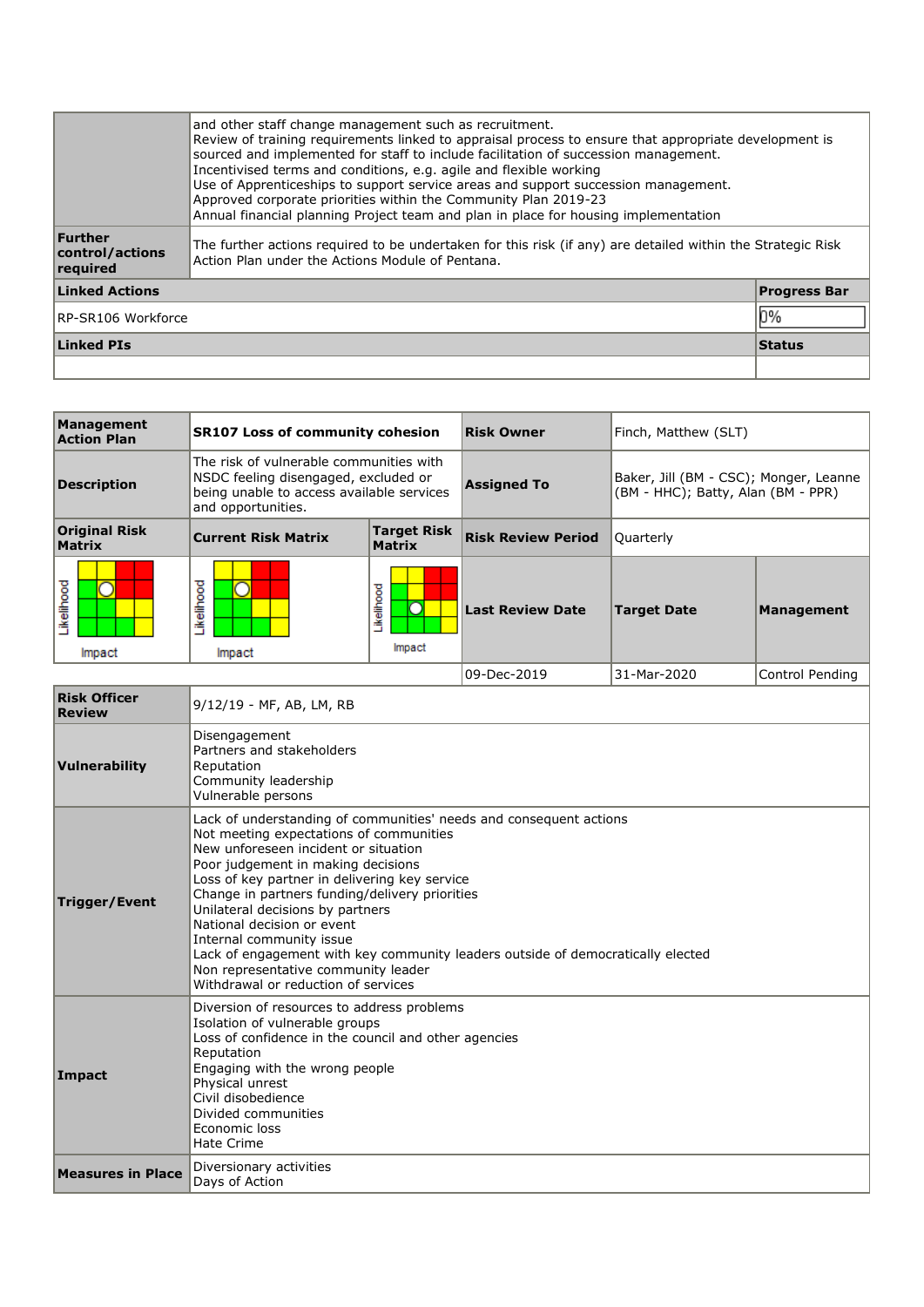|                                        | and other staff change management such as recruitment.<br>Review of training requirements linked to appraisal process to ensure that appropriate development is<br>sourced and implemented for staff to include facilitation of succession management.<br>Incentivised terms and conditions, e.g. agile and flexible working<br>Use of Apprenticeships to support service areas and support succession management.<br>Approved corporate priorities within the Community Plan 2019-23<br>Annual financial planning Project team and plan in place for housing implementation |                     |  |  |
|----------------------------------------|------------------------------------------------------------------------------------------------------------------------------------------------------------------------------------------------------------------------------------------------------------------------------------------------------------------------------------------------------------------------------------------------------------------------------------------------------------------------------------------------------------------------------------------------------------------------------|---------------------|--|--|
| Further<br>control/actions<br>required | The further actions reguired to be undertaken for this risk (if any) are detailed within the Strategic Risk<br>Action Plan under the Actions Module of Pentana.                                                                                                                                                                                                                                                                                                                                                                                                              |                     |  |  |
| <b>Linked Actions</b>                  |                                                                                                                                                                                                                                                                                                                                                                                                                                                                                                                                                                              | <b>Progress Bar</b> |  |  |
| RP-SR106 Workforce                     |                                                                                                                                                                                                                                                                                                                                                                                                                                                                                                                                                                              |                     |  |  |
| <b>Linked PIs</b><br><b>Status</b>     |                                                                                                                                                                                                                                                                                                                                                                                                                                                                                                                                                                              |                     |  |  |
|                                        |                                                                                                                                                                                                                                                                                                                                                                                                                                                                                                                                                                              |                     |  |  |

| Management<br><b>Action Plan</b>      | <b>SR107 Loss of community cohesion</b>                                                                                                            |                              | <b>Risk Owner</b>         | Finch, Matthew (SLT)                                                         |                 |
|---------------------------------------|----------------------------------------------------------------------------------------------------------------------------------------------------|------------------------------|---------------------------|------------------------------------------------------------------------------|-----------------|
| <b>Description</b>                    | The risk of vulnerable communities with<br>NSDC feeling disengaged, excluded or<br>being unable to access available services<br>and opportunities. |                              | <b>Assigned To</b>        | Baker, Jill (BM - CSC); Monger, Leanne<br>(BM - HHC); Batty, Alan (BM - PPR) |                 |
| <b>Original Risk</b><br><b>Matrix</b> | <b>Current Risk Matrix</b>                                                                                                                         | <b>Target Risk</b><br>Matrix | <b>Risk Review Period</b> | Quarterly                                                                    |                 |
| <b>ikelihood</b><br>Impact            | .ikelihood<br>Impact                                                                                                                               | Likelihood<br>Impact         | <b>Last Review Date</b>   | <b>Target Date</b>                                                           | Management      |
|                                       |                                                                                                                                                    |                              | 09-Dec-2019               | 31-Mar-2020                                                                  | Control Pendina |

| <b>Risk Officer</b><br><b>Review</b> | 9/12/19 - MF, AB, LM, RB                                                                                                                                                                                                                                                                                                                                                                                                                                                                                                                                      |  |  |
|--------------------------------------|---------------------------------------------------------------------------------------------------------------------------------------------------------------------------------------------------------------------------------------------------------------------------------------------------------------------------------------------------------------------------------------------------------------------------------------------------------------------------------------------------------------------------------------------------------------|--|--|
| Vulnerability                        | Disengagement<br>Partners and stakeholders<br>Reputation<br>Community leadership<br>Vulnerable persons                                                                                                                                                                                                                                                                                                                                                                                                                                                        |  |  |
| <b>Trigger/Event</b>                 | Lack of understanding of communities' needs and consequent actions<br>Not meeting expectations of communities<br>New unforeseen incident or situation<br>Poor judgement in making decisions<br>Loss of key partner in delivering key service<br>Change in partners funding/delivery priorities<br>Unilateral decisions by partners<br>National decision or event<br>Internal community issue<br>Lack of engagement with key community leaders outside of democratically elected<br>Non representative community leader<br>Withdrawal or reduction of services |  |  |
| Impact                               | Diversion of resources to address problems<br>Isolation of vulnerable groups<br>Loss of confidence in the council and other agencies<br>Reputation<br>Engaging with the wrong people<br>Physical unrest<br>Civil disobedience<br>Divided communities<br>Economic loss<br><b>Hate Crime</b>                                                                                                                                                                                                                                                                    |  |  |
| <b>Measures in Place</b>             | Diversionary activities<br>Days of Action                                                                                                                                                                                                                                                                                                                                                                                                                                                                                                                     |  |  |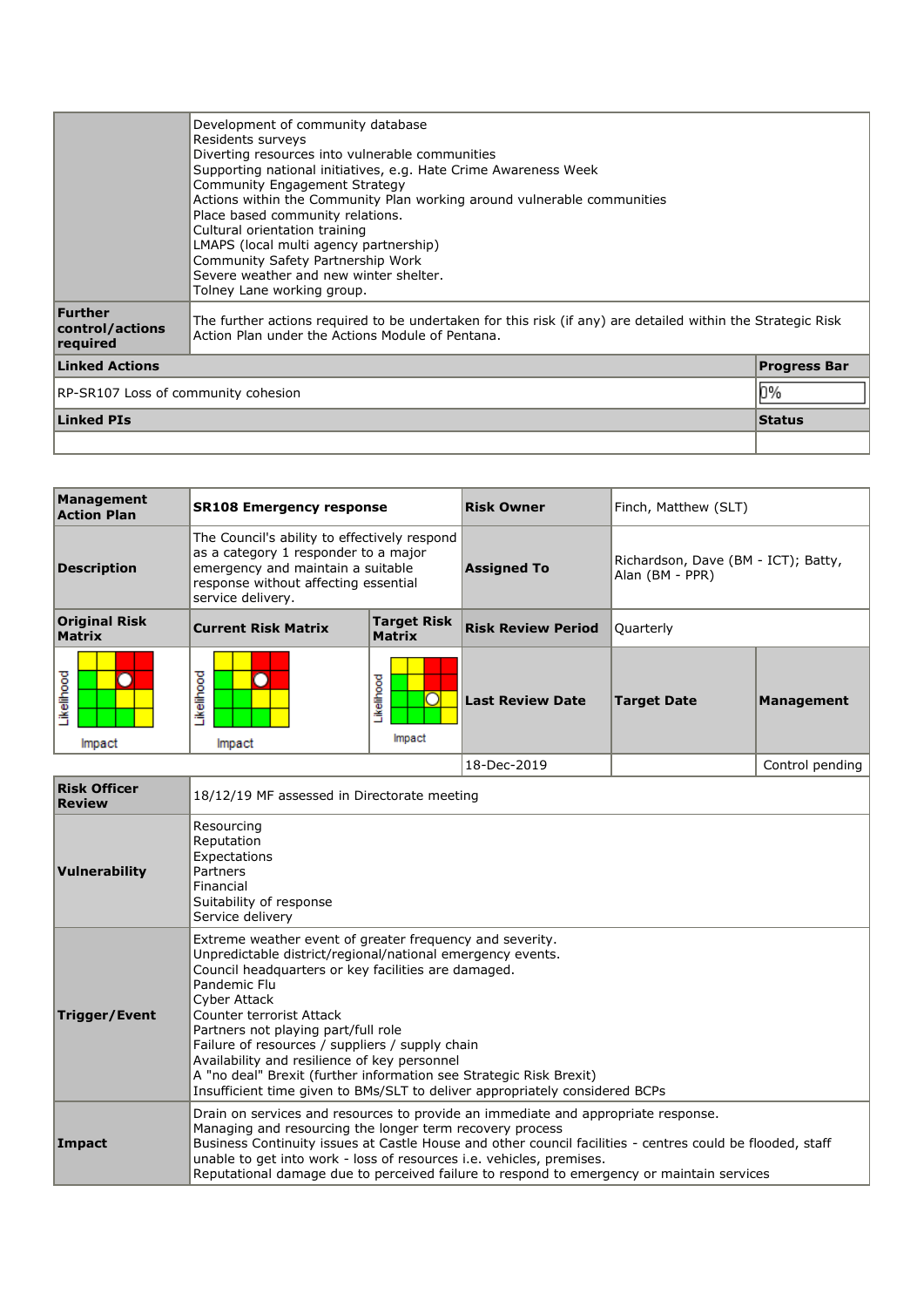| Management<br><b>Action Plan</b> | <b>SR108 Emergency response</b>                                                                                                                                                        |                                     | <b>Risk Owner</b>         | Finch, Matthew (SLT)                                   |                 |
|----------------------------------|----------------------------------------------------------------------------------------------------------------------------------------------------------------------------------------|-------------------------------------|---------------------------|--------------------------------------------------------|-----------------|
| <b>Description</b>               | The Council's ability to effectively respond<br>as a category 1 responder to a major<br>emergency and maintain a suitable<br>response without affecting essential<br>service delivery. |                                     | <b>Assigned To</b>        | Richardson, Dave (BM - ICT); Batty,<br>Alan (BM - PPR) |                 |
| <b>Original Risk</b><br>Matrix   | <b>Current Risk Matrix</b>                                                                                                                                                             | <b>Target Risk</b><br><b>Matrix</b> | <b>Risk Review Period</b> | Ouarterly                                              |                 |
| ikelihood<br>Impact              | ikelihood<br>Impact                                                                                                                                                                    | Likelihood<br>Ō<br>Impact           | <b>Last Review Date</b>   | Target Date                                            | Management      |
|                                  |                                                                                                                                                                                        |                                     | 18-Dec-2019               |                                                        | Control pending |

| <b>Risk Officer</b><br><b>Review</b> | 18/12/19 MF assessed in Directorate meeting                                                                                                                                                                                                                                                                                                                                                                                                                                                                                              |
|--------------------------------------|------------------------------------------------------------------------------------------------------------------------------------------------------------------------------------------------------------------------------------------------------------------------------------------------------------------------------------------------------------------------------------------------------------------------------------------------------------------------------------------------------------------------------------------|
| Vulnerability                        | Resourcing<br>Reputation<br>Expectations<br>Partners<br>Financial<br>Suitability of response<br>Service delivery                                                                                                                                                                                                                                                                                                                                                                                                                         |
| Trigger/Event                        | Extreme weather event of greater frequency and severity.<br>Unpredictable district/regional/national emergency events.<br>Council headquarters or key facilities are damaged.<br>Pandemic Flu<br>Cyber Attack<br>Counter terrorist Attack<br>Partners not playing part/full role<br>Failure of resources / suppliers / supply chain<br>Availability and resilience of key personnel<br>A "no deal" Brexit (further information see Strategic Risk Brexit)<br>Insufficient time given to BMs/SLT to deliver appropriately considered BCPs |
| Impact                               | Drain on services and resources to provide an immediate and appropriate response.<br>Managing and resourcing the longer term recovery process<br>Business Continuity issues at Castle House and other council facilities - centres could be flooded, staff<br>unable to get into work - loss of resources i.e. vehicles, premises.<br>Reputational damage due to perceived failure to respond to emergency or maintain services                                                                                                          |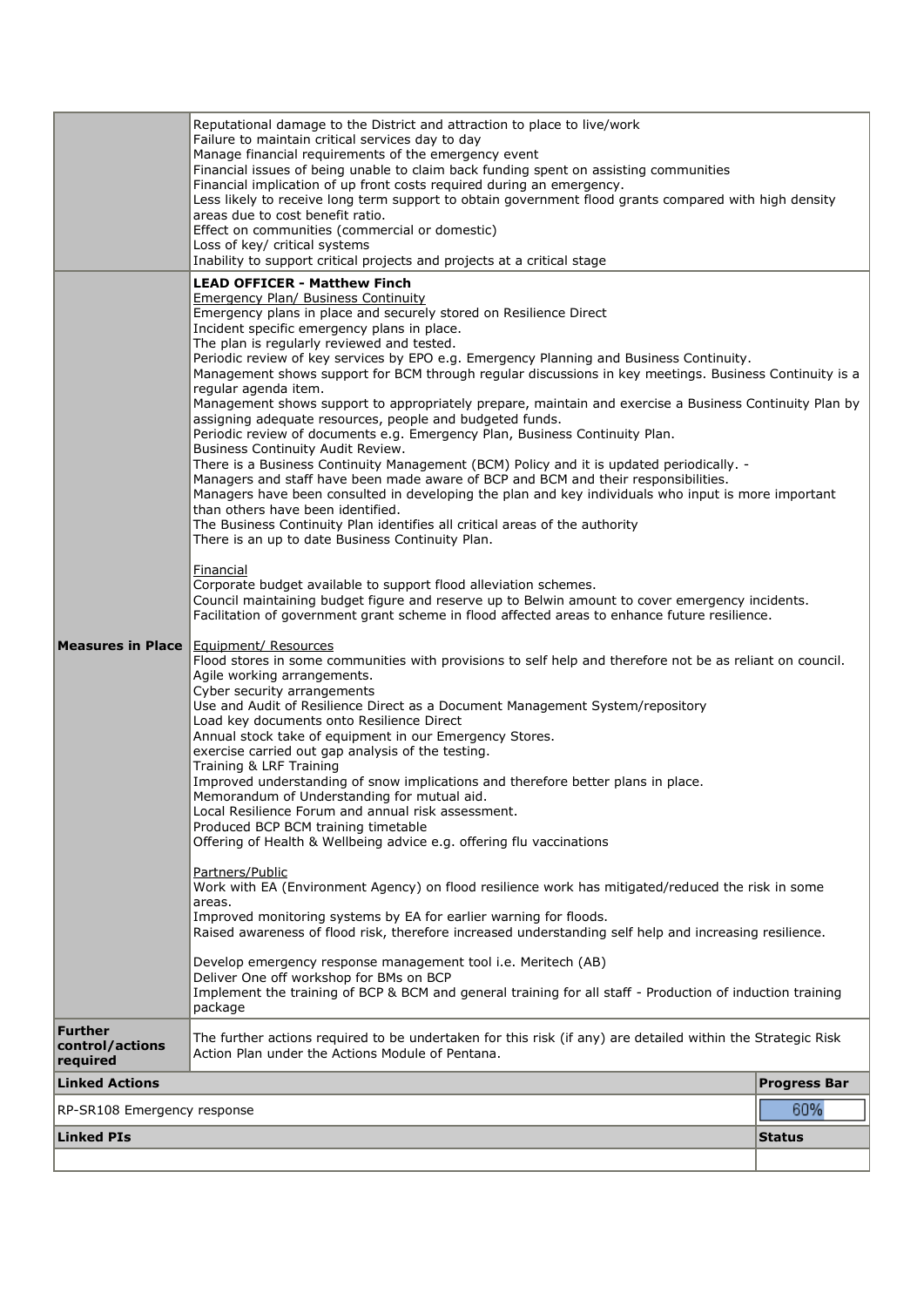|                                               | Reputational damage to the District and attraction to place to live/work<br>Failure to maintain critical services day to day<br>Manage financial requirements of the emergency event<br>Financial issues of being unable to claim back funding spent on assisting communities<br>Financial implication of up front costs required during an emergency.<br>Less likely to receive long term support to obtain government flood grants compared with high density<br>areas due to cost benefit ratio.<br>Effect on communities (commercial or domestic)<br>Loss of key/ critical systems<br>Inability to support critical projects and projects at a critical stage                                                                                                                                                                                                                                                                                                                                                                                                                                                                                                                                                                                                                                                                                                                                                                                                                                                                                                                                                                                                                                                                                                                                                                                                                                                                                                                                                                                                                                                                                                                                                                                                                                                                                                                                                                                                                                                                                                                                                                                                                                                                                                                                                                                                                       |                     |
|-----------------------------------------------|-----------------------------------------------------------------------------------------------------------------------------------------------------------------------------------------------------------------------------------------------------------------------------------------------------------------------------------------------------------------------------------------------------------------------------------------------------------------------------------------------------------------------------------------------------------------------------------------------------------------------------------------------------------------------------------------------------------------------------------------------------------------------------------------------------------------------------------------------------------------------------------------------------------------------------------------------------------------------------------------------------------------------------------------------------------------------------------------------------------------------------------------------------------------------------------------------------------------------------------------------------------------------------------------------------------------------------------------------------------------------------------------------------------------------------------------------------------------------------------------------------------------------------------------------------------------------------------------------------------------------------------------------------------------------------------------------------------------------------------------------------------------------------------------------------------------------------------------------------------------------------------------------------------------------------------------------------------------------------------------------------------------------------------------------------------------------------------------------------------------------------------------------------------------------------------------------------------------------------------------------------------------------------------------------------------------------------------------------------------------------------------------------------------------------------------------------------------------------------------------------------------------------------------------------------------------------------------------------------------------------------------------------------------------------------------------------------------------------------------------------------------------------------------------------------------------------------------------------------------------------------------------|---------------------|
|                                               | <b>LEAD OFFICER - Matthew Finch</b><br><b>Emergency Plan/ Business Continuity</b><br>Emergency plans in place and securely stored on Resilience Direct<br>Incident specific emergency plans in place.<br>The plan is regularly reviewed and tested.<br>Periodic review of key services by EPO e.g. Emergency Planning and Business Continuity.<br>Management shows support for BCM through regular discussions in key meetings. Business Continuity is a<br>regular agenda item.<br>Management shows support to appropriately prepare, maintain and exercise a Business Continuity Plan by<br>assigning adequate resources, people and budgeted funds.<br>Periodic review of documents e.g. Emergency Plan, Business Continuity Plan.<br>Business Continuity Audit Review.<br>There is a Business Continuity Management (BCM) Policy and it is updated periodically. -<br>Managers and staff have been made aware of BCP and BCM and their responsibilities.<br>Managers have been consulted in developing the plan and key individuals who input is more important<br>than others have been identified.<br>The Business Continuity Plan identifies all critical areas of the authority<br>There is an up to date Business Continuity Plan.<br>Financial<br>Corporate budget available to support flood alleviation schemes.<br>Council maintaining budget figure and reserve up to Belwin amount to cover emergency incidents.<br>Facilitation of government grant scheme in flood affected areas to enhance future resilience.<br><b>Measures in Place Equipment/ Resources</b><br>Flood stores in some communities with provisions to self help and therefore not be as reliant on council.<br>Agile working arrangements.<br>Cyber security arrangements<br>Use and Audit of Resilience Direct as a Document Management System/repository<br>Load key documents onto Resilience Direct<br>Annual stock take of equipment in our Emergency Stores.<br>exercise carried out gap analysis of the testing.<br>Training & LRF Training<br>Improved understanding of snow implications and therefore better plans in place.<br>Memorandum of Understanding for mutual aid.<br>Local Resilience Forum and annual risk assessment.<br>Produced BCP BCM training timetable<br>Offering of Health & Wellbeing advice e.g. offering flu vaccinations<br>Partners/Public<br>Work with EA (Environment Agency) on flood resilience work has mitigated/reduced the risk in some<br>areas.<br>Improved monitoring systems by EA for earlier warning for floods.<br>Raised awareness of flood risk, therefore increased understanding self help and increasing resilience.<br>Develop emergency response management tool i.e. Meritech (AB)<br>Deliver One off workshop for BMs on BCP<br>Implement the training of BCP & BCM and general training for all staff - Production of induction training |                     |
| <b>Further</b><br>control/actions<br>required | package<br>The further actions required to be undertaken for this risk (if any) are detailed within the Strategic Risk<br>Action Plan under the Actions Module of Pentana.                                                                                                                                                                                                                                                                                                                                                                                                                                                                                                                                                                                                                                                                                                                                                                                                                                                                                                                                                                                                                                                                                                                                                                                                                                                                                                                                                                                                                                                                                                                                                                                                                                                                                                                                                                                                                                                                                                                                                                                                                                                                                                                                                                                                                                                                                                                                                                                                                                                                                                                                                                                                                                                                                                              |                     |
| <b>Linked Actions</b>                         |                                                                                                                                                                                                                                                                                                                                                                                                                                                                                                                                                                                                                                                                                                                                                                                                                                                                                                                                                                                                                                                                                                                                                                                                                                                                                                                                                                                                                                                                                                                                                                                                                                                                                                                                                                                                                                                                                                                                                                                                                                                                                                                                                                                                                                                                                                                                                                                                                                                                                                                                                                                                                                                                                                                                                                                                                                                                                         | <b>Progress Bar</b> |
| RP-SR108 Emergency response                   |                                                                                                                                                                                                                                                                                                                                                                                                                                                                                                                                                                                                                                                                                                                                                                                                                                                                                                                                                                                                                                                                                                                                                                                                                                                                                                                                                                                                                                                                                                                                                                                                                                                                                                                                                                                                                                                                                                                                                                                                                                                                                                                                                                                                                                                                                                                                                                                                                                                                                                                                                                                                                                                                                                                                                                                                                                                                                         | 60%                 |
| <b>Linked PIs</b>                             |                                                                                                                                                                                                                                                                                                                                                                                                                                                                                                                                                                                                                                                                                                                                                                                                                                                                                                                                                                                                                                                                                                                                                                                                                                                                                                                                                                                                                                                                                                                                                                                                                                                                                                                                                                                                                                                                                                                                                                                                                                                                                                                                                                                                                                                                                                                                                                                                                                                                                                                                                                                                                                                                                                                                                                                                                                                                                         | <b>Status</b>       |
|                                               |                                                                                                                                                                                                                                                                                                                                                                                                                                                                                                                                                                                                                                                                                                                                                                                                                                                                                                                                                                                                                                                                                                                                                                                                                                                                                                                                                                                                                                                                                                                                                                                                                                                                                                                                                                                                                                                                                                                                                                                                                                                                                                                                                                                                                                                                                                                                                                                                                                                                                                                                                                                                                                                                                                                                                                                                                                                                                         |                     |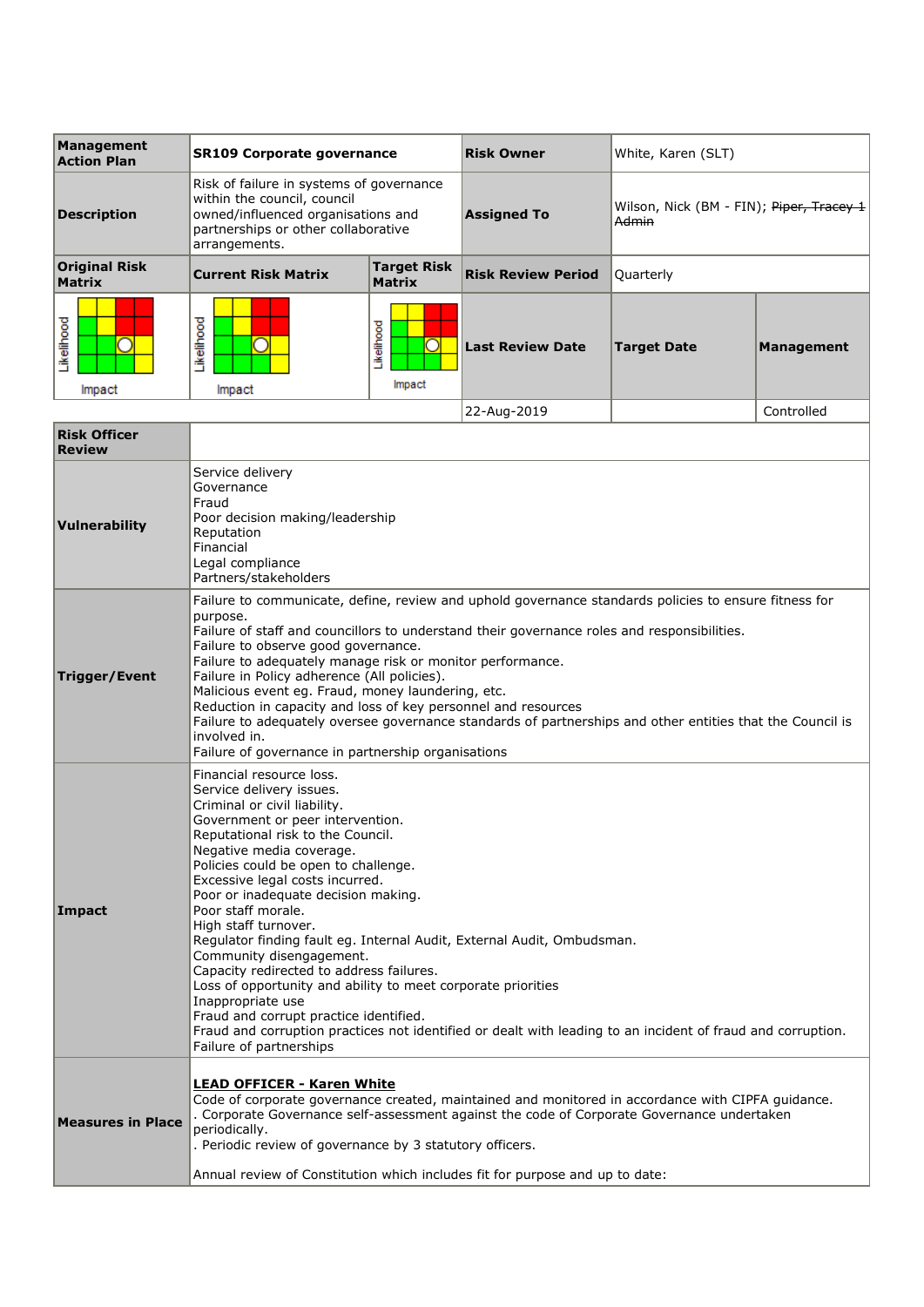| Management<br><b>Action Plan</b>      | <b>SR109 Corporate governance</b>                                                                                                                                     |                                     | <b>Risk Owner</b>         | White, Karen (SLT)                                                      |                   |
|---------------------------------------|-----------------------------------------------------------------------------------------------------------------------------------------------------------------------|-------------------------------------|---------------------------|-------------------------------------------------------------------------|-------------------|
| <b>Description</b>                    | Risk of failure in systems of governance<br>within the council, council<br>owned/influenced organisations and<br>partnerships or other collaborative<br>arrangements. |                                     | <b>Assigned To</b>        | Wilson, Nick (BM - FIN); <del>Piper, Tracey 1</del><br><del>Admin</del> |                   |
| <b>Original Risk</b><br><b>Matrix</b> | <b>Current Risk Matrix</b>                                                                                                                                            | <b>Target Risk</b><br><b>Matrix</b> | <b>Risk Review Period</b> | Ouarterly                                                               |                   |
| ikelihood<br>Impact                   | ikelihood<br>Impact                                                                                                                                                   | ikelihood<br>Impact                 | <b>Last Review Date</b>   | <b>Target Date</b>                                                      | <b>Management</b> |
|                                       |                                                                                                                                                                       |                                     | 22-Aug-2019               |                                                                         | Controlled        |

| <b>Risk Officer</b><br><b>Review</b> |                                                                                                                                                                                                                                                                                                                                                                                                                                                                                                                                                                                                                                                                                                                                                                                      |
|--------------------------------------|--------------------------------------------------------------------------------------------------------------------------------------------------------------------------------------------------------------------------------------------------------------------------------------------------------------------------------------------------------------------------------------------------------------------------------------------------------------------------------------------------------------------------------------------------------------------------------------------------------------------------------------------------------------------------------------------------------------------------------------------------------------------------------------|
| Vulnerability                        | Service delivery<br>Governance<br>Fraud<br>Poor decision making/leadership<br>Reputation<br>Financial<br>Legal compliance<br>Partners/stakeholders                                                                                                                                                                                                                                                                                                                                                                                                                                                                                                                                                                                                                                   |
| Trigger/Event                        | Failure to communicate, define, review and uphold governance standards policies to ensure fitness for<br>purpose.<br>Failure of staff and councillors to understand their governance roles and responsibilities.<br>Failure to observe good governance.<br>Failure to adequately manage risk or monitor performance.<br>Failure in Policy adherence (All policies).<br>Malicious event eg. Fraud, money laundering, etc.<br>Reduction in capacity and loss of key personnel and resources<br>Failure to adequately oversee governance standards of partnerships and other entities that the Council is<br>involved in.<br>Failure of governance in partnership organisations                                                                                                         |
| Impact                               | Financial resource loss.<br>Service delivery issues.<br>Criminal or civil liability.<br>Government or peer intervention.<br>Reputational risk to the Council.<br>Negative media coverage.<br>Policies could be open to challenge.<br>Excessive legal costs incurred.<br>Poor or inadequate decision making.<br>Poor staff morale.<br>High staff turnover.<br>Regulator finding fault eg. Internal Audit, External Audit, Ombudsman.<br>Community disengagement.<br>Capacity redirected to address failures.<br>Loss of opportunity and ability to meet corporate priorities<br>Inappropriate use<br>Fraud and corrupt practice identified.<br>Fraud and corruption practices not identified or dealt with leading to an incident of fraud and corruption.<br>Failure of partnerships |
| <b>Measures in Place</b>             | <b>LEAD OFFICER - Karen White</b><br>Code of corporate governance created, maintained and monitored in accordance with CIPFA guidance.<br>. Corporate Governance self-assessment against the code of Corporate Governance undertaken<br>periodically.<br>. Periodic review of governance by 3 statutory officers.<br>Annual review of Constitution which includes fit for purpose and up to date:                                                                                                                                                                                                                                                                                                                                                                                    |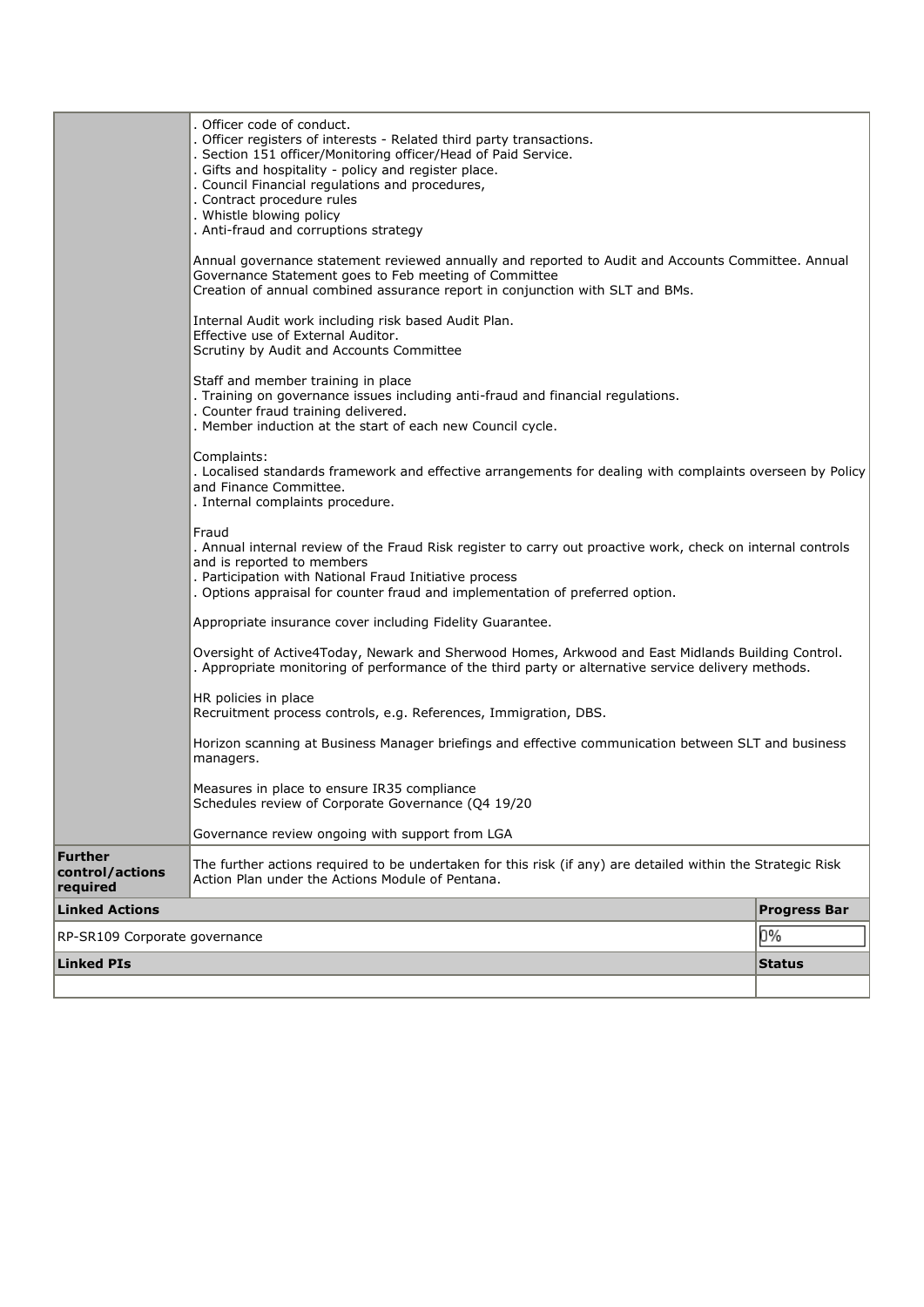| <b>Linked PIs</b>                                                                                                                                                                                                          |                                                                                                                                                                                                                                                                                                                                                                                  | <b>Status</b>       |  |  |
|----------------------------------------------------------------------------------------------------------------------------------------------------------------------------------------------------------------------------|----------------------------------------------------------------------------------------------------------------------------------------------------------------------------------------------------------------------------------------------------------------------------------------------------------------------------------------------------------------------------------|---------------------|--|--|
| RP-SR109 Corporate governance                                                                                                                                                                                              |                                                                                                                                                                                                                                                                                                                                                                                  | 0%                  |  |  |
| required<br><b>Linked Actions</b>                                                                                                                                                                                          |                                                                                                                                                                                                                                                                                                                                                                                  | <b>Progress Bar</b> |  |  |
| <b>Further</b><br>control/actions                                                                                                                                                                                          | The further actions required to be undertaken for this risk (if any) are detailed within the Strategic Risk<br>Action Plan under the Actions Module of Pentana.                                                                                                                                                                                                                  |                     |  |  |
|                                                                                                                                                                                                                            | Governance review ongoing with support from LGA                                                                                                                                                                                                                                                                                                                                  |                     |  |  |
|                                                                                                                                                                                                                            | Measures in place to ensure IR35 compliance<br>Schedules review of Corporate Governance (Q4 19/20                                                                                                                                                                                                                                                                                |                     |  |  |
|                                                                                                                                                                                                                            | Horizon scanning at Business Manager briefings and effective communication between SLT and business<br>managers.                                                                                                                                                                                                                                                                 |                     |  |  |
|                                                                                                                                                                                                                            | HR policies in place<br>Recruitment process controls, e.g. References, Immigration, DBS.                                                                                                                                                                                                                                                                                         |                     |  |  |
|                                                                                                                                                                                                                            | Oversight of Active4Today, Newark and Sherwood Homes, Arkwood and East Midlands Building Control.<br>. Appropriate monitoring of performance of the third party or alternative service delivery methods.                                                                                                                                                                         |                     |  |  |
|                                                                                                                                                                                                                            | Appropriate insurance cover including Fidelity Guarantee.                                                                                                                                                                                                                                                                                                                        |                     |  |  |
|                                                                                                                                                                                                                            | Fraud<br>. Annual internal review of the Fraud Risk register to carry out proactive work, check on internal controls<br>and is reported to members<br>. Participation with National Fraud Initiative process<br>. Options appraisal for counter fraud and implementation of preferred option.                                                                                    |                     |  |  |
|                                                                                                                                                                                                                            | Complaints:<br>. Localised standards framework and effective arrangements for dealing with complaints overseen by Policy<br>and Finance Committee.<br>. Internal complaints procedure.                                                                                                                                                                                           |                     |  |  |
| Staff and member training in place<br>. Training on governance issues including anti-fraud and financial regulations.<br>. Counter fraud training delivered.<br>. Member induction at the start of each new Council cycle. |                                                                                                                                                                                                                                                                                                                                                                                  |                     |  |  |
|                                                                                                                                                                                                                            | Internal Audit work including risk based Audit Plan.<br>Effective use of External Auditor.<br>Scrutiny by Audit and Accounts Committee                                                                                                                                                                                                                                           |                     |  |  |
|                                                                                                                                                                                                                            | Annual governance statement reviewed annually and reported to Audit and Accounts Committee. Annual<br>Governance Statement goes to Feb meeting of Committee<br>Creation of annual combined assurance report in conjunction with SLT and BMs.                                                                                                                                     |                     |  |  |
|                                                                                                                                                                                                                            | Officer code of conduct.<br>. Officer registers of interests - Related third party transactions.<br>. Section 151 officer/Monitoring officer/Head of Paid Service.<br>. Gifts and hospitality - policy and register place.<br>. Council Financial regulations and procedures,<br>. Contract procedure rules<br>. Whistle blowing policy<br>. Anti-fraud and corruptions strategy |                     |  |  |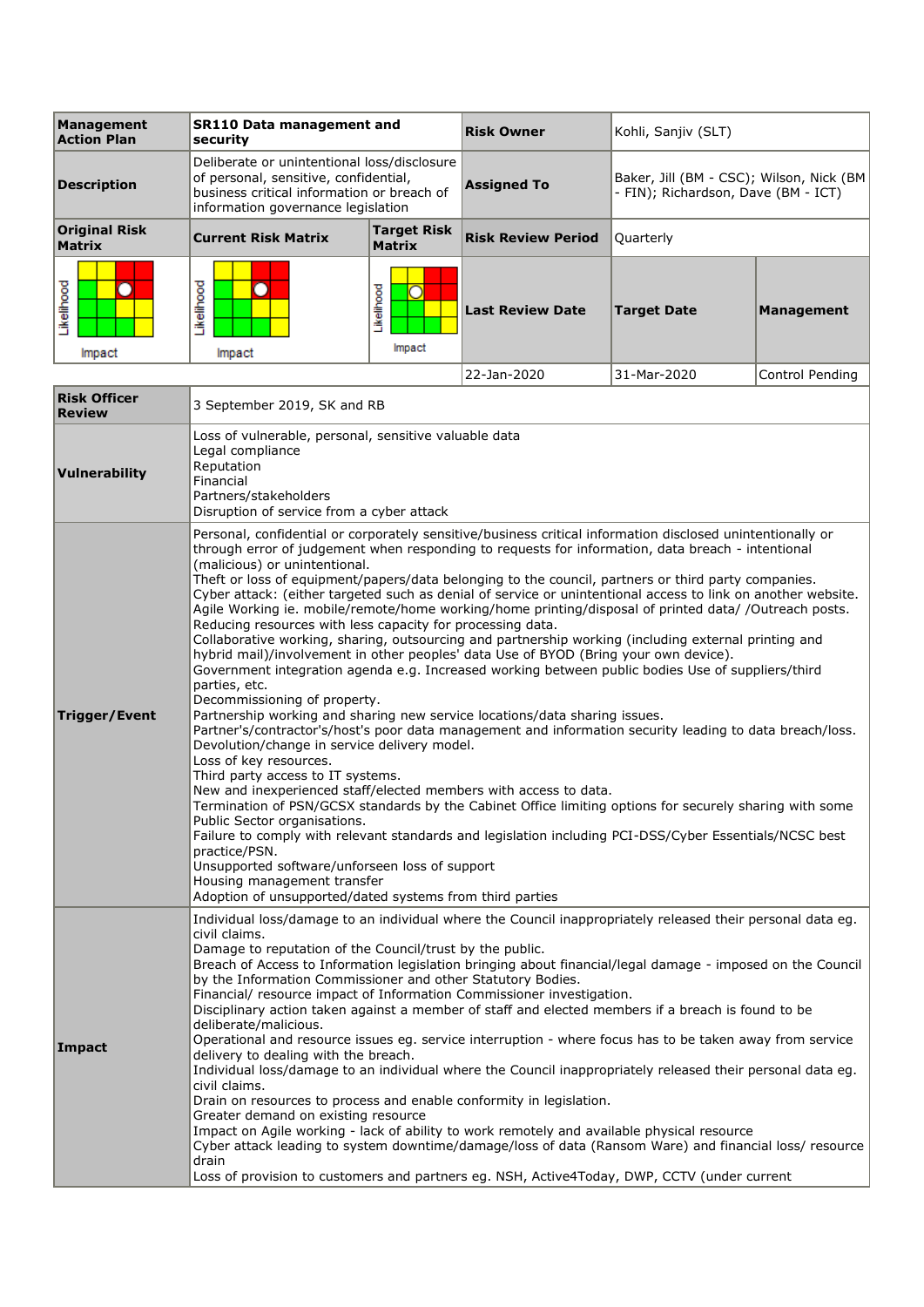| Management<br><b>Action Plan</b>      | <b>SR110 Data management and</b><br>securitv                                                                                                                                                                                                                                                                                                                                                                                                                                                                                                                                                                                                                                                                                                                                                                                                                                                                                                                                                                                                                                                                                                                                                                                                                                                                                                                                                                                                                                                                                                                                                                                                                                                                                                                                                         |                                     | <b>Risk Owner</b>         | Kohli, Sanjiv (SLT)                                                              |                   |
|---------------------------------------|------------------------------------------------------------------------------------------------------------------------------------------------------------------------------------------------------------------------------------------------------------------------------------------------------------------------------------------------------------------------------------------------------------------------------------------------------------------------------------------------------------------------------------------------------------------------------------------------------------------------------------------------------------------------------------------------------------------------------------------------------------------------------------------------------------------------------------------------------------------------------------------------------------------------------------------------------------------------------------------------------------------------------------------------------------------------------------------------------------------------------------------------------------------------------------------------------------------------------------------------------------------------------------------------------------------------------------------------------------------------------------------------------------------------------------------------------------------------------------------------------------------------------------------------------------------------------------------------------------------------------------------------------------------------------------------------------------------------------------------------------------------------------------------------------|-------------------------------------|---------------------------|----------------------------------------------------------------------------------|-------------------|
| <b>Description</b>                    | Deliberate or unintentional loss/disclosure<br>of personal, sensitive, confidential,<br>business critical information or breach of<br>information governance legislation                                                                                                                                                                                                                                                                                                                                                                                                                                                                                                                                                                                                                                                                                                                                                                                                                                                                                                                                                                                                                                                                                                                                                                                                                                                                                                                                                                                                                                                                                                                                                                                                                             |                                     | <b>Assigned To</b>        | Baker, Jill (BM - CSC); Wilson, Nick (BM)<br>- FIN); Richardson, Dave (BM - ICT) |                   |
| <b>Original Risk</b><br><b>Matrix</b> | <b>Current Risk Matrix</b>                                                                                                                                                                                                                                                                                                                                                                                                                                                                                                                                                                                                                                                                                                                                                                                                                                                                                                                                                                                                                                                                                                                                                                                                                                                                                                                                                                                                                                                                                                                                                                                                                                                                                                                                                                           | <b>Target Risk</b><br><b>Matrix</b> | <b>Risk Review Period</b> | Quarterly                                                                        |                   |
| Likelihood<br>Impact                  | Likelihood<br>Impact                                                                                                                                                                                                                                                                                                                                                                                                                                                                                                                                                                                                                                                                                                                                                                                                                                                                                                                                                                                                                                                                                                                                                                                                                                                                                                                                                                                                                                                                                                                                                                                                                                                                                                                                                                                 | Likelihood<br>Ω<br>Impact           | <b>Last Review Date</b>   | <b>Target Date</b>                                                               | <b>Management</b> |
|                                       |                                                                                                                                                                                                                                                                                                                                                                                                                                                                                                                                                                                                                                                                                                                                                                                                                                                                                                                                                                                                                                                                                                                                                                                                                                                                                                                                                                                                                                                                                                                                                                                                                                                                                                                                                                                                      |                                     | 22-Jan-2020               | 31-Mar-2020                                                                      | Control Pending   |
| <b>Risk Officer</b><br><b>Review</b>  | 3 September 2019, SK and RB                                                                                                                                                                                                                                                                                                                                                                                                                                                                                                                                                                                                                                                                                                                                                                                                                                                                                                                                                                                                                                                                                                                                                                                                                                                                                                                                                                                                                                                                                                                                                                                                                                                                                                                                                                          |                                     |                           |                                                                                  |                   |
| Vulnerability                         | Loss of vulnerable, personal, sensitive valuable data<br>Legal compliance<br>Reputation<br>Financial<br>Partners/stakeholders<br>Disruption of service from a cyber attack                                                                                                                                                                                                                                                                                                                                                                                                                                                                                                                                                                                                                                                                                                                                                                                                                                                                                                                                                                                                                                                                                                                                                                                                                                                                                                                                                                                                                                                                                                                                                                                                                           |                                     |                           |                                                                                  |                   |
| Trigger/Event                         | Personal, confidential or corporately sensitive/business critical information disclosed unintentionally or<br>through error of judgement when responding to requests for information, data breach - intentional<br>(malicious) or unintentional.<br>Theft or loss of equipment/papers/data belonging to the council, partners or third party companies.<br>Cyber attack: (either targeted such as denial of service or unintentional access to link on another website.<br>Agile Working ie. mobile/remote/home working/home printing/disposal of printed data/ /Outreach posts.<br>Reducing resources with less capacity for processing data.<br>Collaborative working, sharing, outsourcing and partnership working (including external printing and<br>hybrid mail)/involvement in other peoples' data Use of BYOD (Bring your own device).<br>Government integration agenda e.g. Increased working between public bodies Use of suppliers/third<br>parties, etc.<br>Decommissioning of property.<br>Partnership working and sharing new service locations/data sharing issues.<br>Partner's/contractor's/host's poor data management and information security leading to data breach/loss.<br>Devolution/change in service delivery model.<br>Loss of key resources.<br>Third party access to IT systems.<br>New and inexperienced staff/elected members with access to data.<br>Termination of PSN/GCSX standards by the Cabinet Office limiting options for securely sharing with some<br>Public Sector organisations.<br>Failure to comply with relevant standards and legislation including PCI-DSS/Cyber Essentials/NCSC best<br>practice/PSN.<br>Unsupported software/unforseen loss of support<br>Housing management transfer<br>Adoption of unsupported/dated systems from third parties |                                     |                           |                                                                                  |                   |
| <b>Impact</b>                         | Individual loss/damage to an individual where the Council inappropriately released their personal data eg.<br>civil claims.<br>Damage to reputation of the Council/trust by the public.<br>Breach of Access to Information legislation bringing about financial/legal damage - imposed on the Council<br>by the Information Commissioner and other Statutory Bodies.<br>Financial/ resource impact of Information Commissioner investigation.<br>Disciplinary action taken against a member of staff and elected members if a breach is found to be<br>deliberate/malicious.<br>Operational and resource issues eg. service interruption - where focus has to be taken away from service<br>delivery to dealing with the breach.<br>Individual loss/damage to an individual where the Council inappropriately released their personal data eg.<br>civil claims.<br>Drain on resources to process and enable conformity in legislation.<br>Greater demand on existing resource<br>Impact on Agile working - lack of ability to work remotely and available physical resource<br>Cyber attack leading to system downtime/damage/loss of data (Ransom Ware) and financial loss/ resource<br>drain<br>Loss of provision to customers and partners eg. NSH, Active4Today, DWP, CCTV (under current                                                                                                                                                                                                                                                                                                                                                                                                                                                                                                        |                                     |                           |                                                                                  |                   |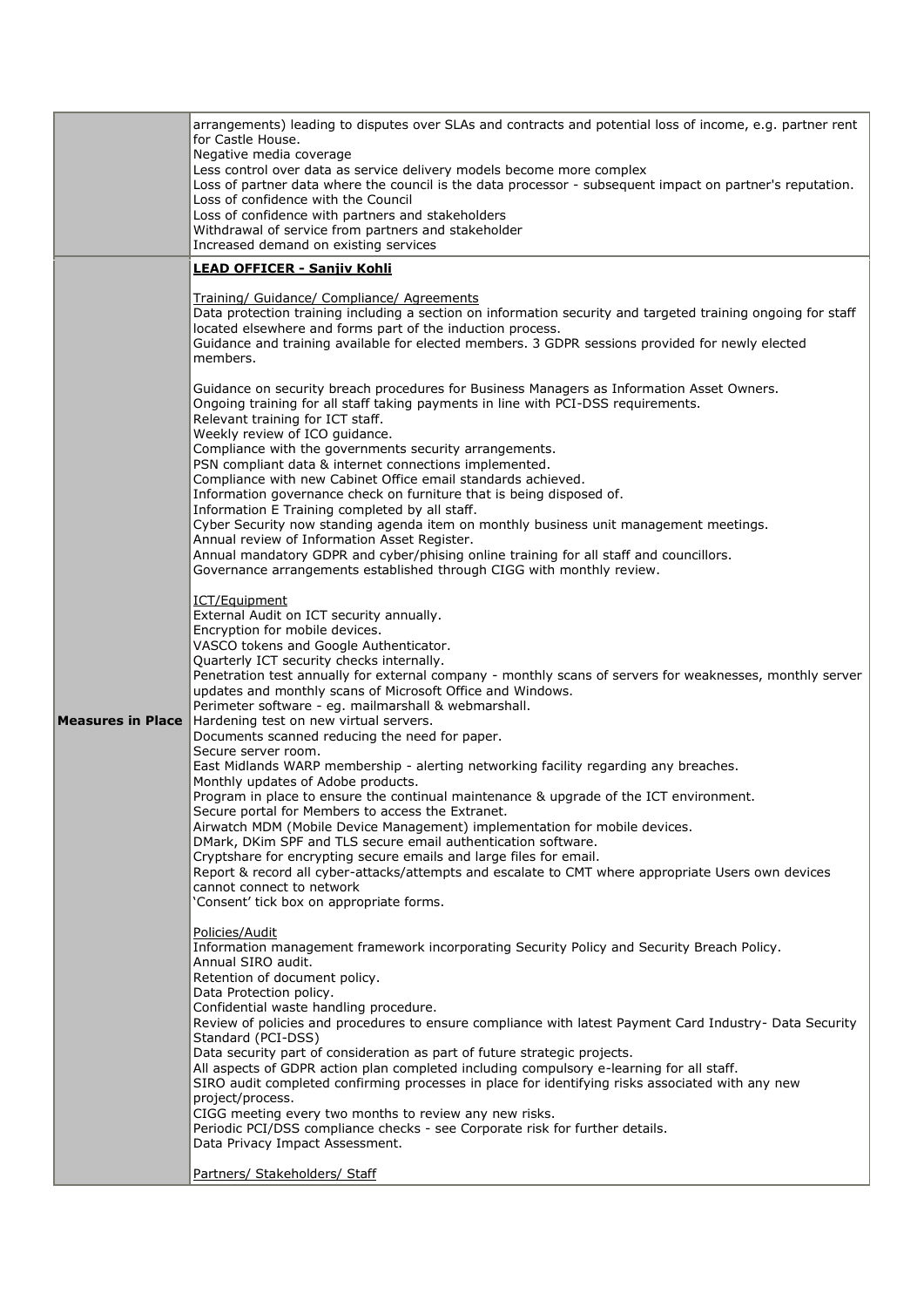|                          | arrangements) leading to disputes over SLAs and contracts and potential loss of income, e.g. partner rent<br>for Castle House.<br>Negative media coverage<br>Less control over data as service delivery models become more complex<br>Loss of partner data where the council is the data processor - subsequent impact on partner's reputation.<br>Loss of confidence with the Council<br>Loss of confidence with partners and stakeholders<br>Withdrawal of service from partners and stakeholder                                                                                                                                                                                                                                                                                                                                                                                                                                                                                                                                                                                                                                                                                                                                                                                                                                                                                                                                                                                                                                                                                                                                                                                                                                                                                                                                                                                                                                                                                                                                                                                                                                                                                                                                                                                                                                                                                                                                                                                                                                                                                                                                                                                                                                                                                                                                                                                                                                                                                                                                                                                                                                                                                                                                                                                                                                              |
|--------------------------|-------------------------------------------------------------------------------------------------------------------------------------------------------------------------------------------------------------------------------------------------------------------------------------------------------------------------------------------------------------------------------------------------------------------------------------------------------------------------------------------------------------------------------------------------------------------------------------------------------------------------------------------------------------------------------------------------------------------------------------------------------------------------------------------------------------------------------------------------------------------------------------------------------------------------------------------------------------------------------------------------------------------------------------------------------------------------------------------------------------------------------------------------------------------------------------------------------------------------------------------------------------------------------------------------------------------------------------------------------------------------------------------------------------------------------------------------------------------------------------------------------------------------------------------------------------------------------------------------------------------------------------------------------------------------------------------------------------------------------------------------------------------------------------------------------------------------------------------------------------------------------------------------------------------------------------------------------------------------------------------------------------------------------------------------------------------------------------------------------------------------------------------------------------------------------------------------------------------------------------------------------------------------------------------------------------------------------------------------------------------------------------------------------------------------------------------------------------------------------------------------------------------------------------------------------------------------------------------------------------------------------------------------------------------------------------------------------------------------------------------------------------------------------------------------------------------------------------------------------------------------------------------------------------------------------------------------------------------------------------------------------------------------------------------------------------------------------------------------------------------------------------------------------------------------------------------------------------------------------------------------------------------------------------------------------------------------------------------------|
|                          | Increased demand on existing services                                                                                                                                                                                                                                                                                                                                                                                                                                                                                                                                                                                                                                                                                                                                                                                                                                                                                                                                                                                                                                                                                                                                                                                                                                                                                                                                                                                                                                                                                                                                                                                                                                                                                                                                                                                                                                                                                                                                                                                                                                                                                                                                                                                                                                                                                                                                                                                                                                                                                                                                                                                                                                                                                                                                                                                                                                                                                                                                                                                                                                                                                                                                                                                                                                                                                                           |
|                          |                                                                                                                                                                                                                                                                                                                                                                                                                                                                                                                                                                                                                                                                                                                                                                                                                                                                                                                                                                                                                                                                                                                                                                                                                                                                                                                                                                                                                                                                                                                                                                                                                                                                                                                                                                                                                                                                                                                                                                                                                                                                                                                                                                                                                                                                                                                                                                                                                                                                                                                                                                                                                                                                                                                                                                                                                                                                                                                                                                                                                                                                                                                                                                                                                                                                                                                                                 |
| <b>Measures in Place</b> | LEAD OFFICER - Sanjiv Kohli<br>Training/ Guidance/ Compliance/ Agreements<br>Data protection training including a section on information security and targeted training ongoing for staff<br>located elsewhere and forms part of the induction process.<br>Guidance and training available for elected members. 3 GDPR sessions provided for newly elected<br>members.<br>Guidance on security breach procedures for Business Managers as Information Asset Owners.<br>Ongoing training for all staff taking payments in line with PCI-DSS requirements.<br>Relevant training for ICT staff.<br>Weekly review of ICO guidance.<br>Compliance with the governments security arrangements.<br>PSN compliant data & internet connections implemented.<br>Compliance with new Cabinet Office email standards achieved.<br>Information governance check on furniture that is being disposed of.<br>Information E Training completed by all staff.<br>Cyber Security now standing agenda item on monthly business unit management meetings.<br>Annual review of Information Asset Register.<br>Annual mandatory GDPR and cyber/phising online training for all staff and councillors.<br>Governance arrangements established through CIGG with monthly review.<br>ICT/Equipment<br>External Audit on ICT security annually.<br>Encryption for mobile devices.<br>VASCO tokens and Google Authenticator.<br>Quarterly ICT security checks internally.<br>Penetration test annually for external company - monthly scans of servers for weaknesses, monthly server<br>updates and monthly scans of Microsoft Office and Windows.<br>Perimeter software - eg. mailmarshall & webmarshall.<br>Hardening test on new virtual servers.<br>Documents scanned reducing the need for paper.<br>Secure server room.<br>East Midlands WARP membership - alerting networking facility regarding any breaches.<br>Monthly updates of Adobe products.<br>Program in place to ensure the continual maintenance & upgrade of the ICT environment.<br>Secure portal for Members to access the Extranet.<br>Airwatch MDM (Mobile Device Management) implementation for mobile devices.<br>DMark, DKim SPF and TLS secure email authentication software.<br>Cryptshare for encrypting secure emails and large files for email.<br>Report & record all cyber-attacks/attempts and escalate to CMT where appropriate Users own devices<br>cannot connect to network<br>'Consent' tick box on appropriate forms.<br>Policies/Audit<br>Information management framework incorporating Security Policy and Security Breach Policy.<br>Annual SIRO audit.<br>Retention of document policy.<br>Data Protection policy.<br>Confidential waste handling procedure.<br>Review of policies and procedures to ensure compliance with latest Payment Card Industry- Data Security<br>Standard (PCI-DSS)<br>Data security part of consideration as part of future strategic projects.<br>All aspects of GDPR action plan completed including compulsory e-learning for all staff.<br>SIRO audit completed confirming processes in place for identifying risks associated with any new<br>project/process.<br>CIGG meeting every two months to review any new risks.<br>Periodic PCI/DSS compliance checks - see Corporate risk for further details.<br>Data Privacy Impact Assessment. |
|                          | Partners/ Stakeholders/ Staff                                                                                                                                                                                                                                                                                                                                                                                                                                                                                                                                                                                                                                                                                                                                                                                                                                                                                                                                                                                                                                                                                                                                                                                                                                                                                                                                                                                                                                                                                                                                                                                                                                                                                                                                                                                                                                                                                                                                                                                                                                                                                                                                                                                                                                                                                                                                                                                                                                                                                                                                                                                                                                                                                                                                                                                                                                                                                                                                                                                                                                                                                                                                                                                                                                                                                                                   |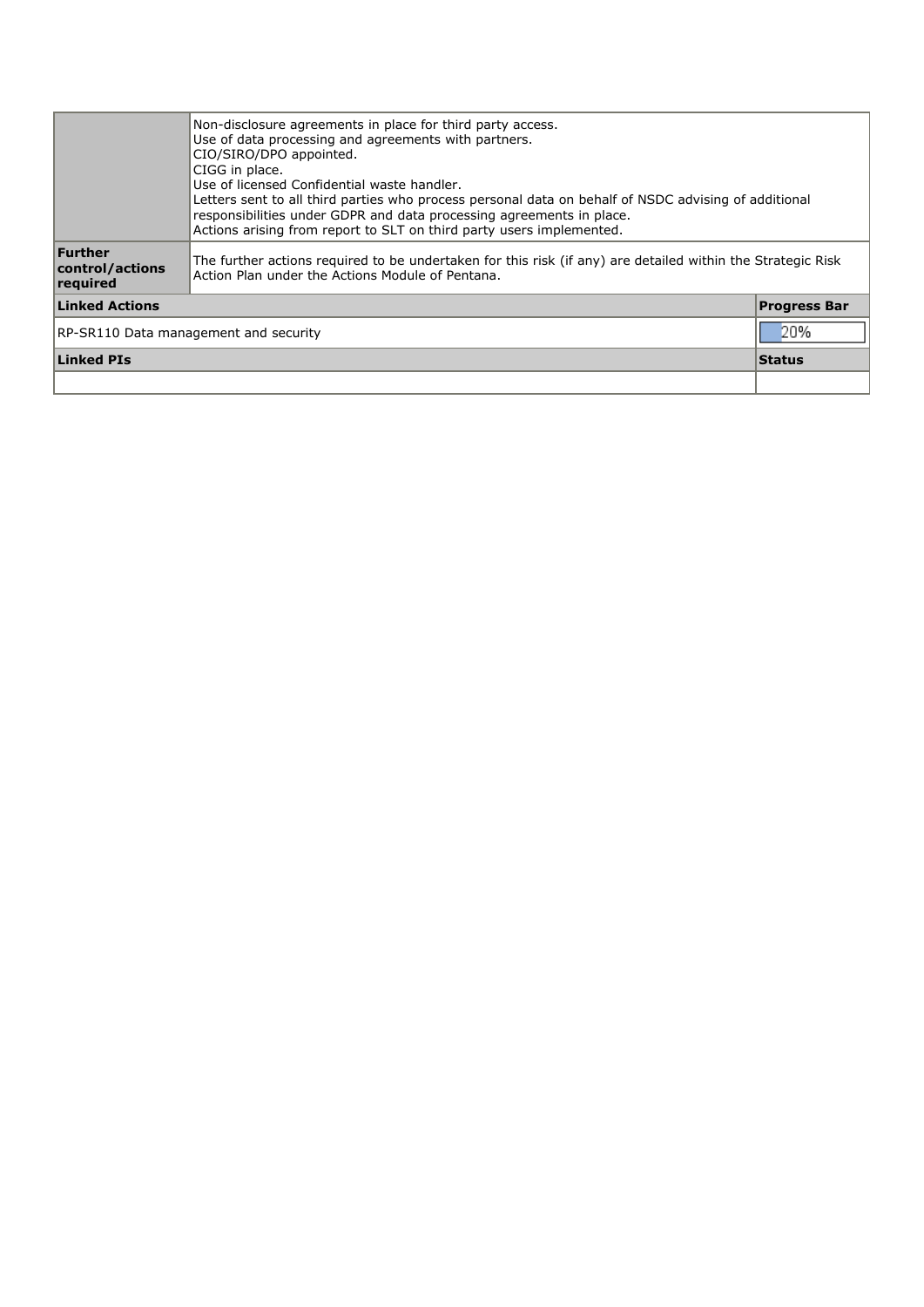|                                              | Non-disclosure agreements in place for third party access.<br>Use of data processing and agreements with partners.<br>CIO/SIRO/DPO appointed.<br>CIGG in place.<br>Use of licensed Confidential waste handler.<br>Letters sent to all third parties who process personal data on behalf of NSDC advising of additional<br>responsibilities under GDPR and data processing agreements in place.<br>Actions arising from report to SLT on third party users implemented. |  |  |  |  |
|----------------------------------------------|------------------------------------------------------------------------------------------------------------------------------------------------------------------------------------------------------------------------------------------------------------------------------------------------------------------------------------------------------------------------------------------------------------------------------------------------------------------------|--|--|--|--|
| Further<br>control/actions<br>required       | The further actions reguired to be undertaken for this risk (if any) are detailed within the Strategic Risk<br>Action Plan under the Actions Module of Pentana.                                                                                                                                                                                                                                                                                                        |  |  |  |  |
| <b>Linked Actions</b><br><b>Progress Bar</b> |                                                                                                                                                                                                                                                                                                                                                                                                                                                                        |  |  |  |  |
| RP-SR110 Data management and security        |                                                                                                                                                                                                                                                                                                                                                                                                                                                                        |  |  |  |  |
| <b>Linked PIs</b>                            |                                                                                                                                                                                                                                                                                                                                                                                                                                                                        |  |  |  |  |
|                                              |                                                                                                                                                                                                                                                                                                                                                                                                                                                                        |  |  |  |  |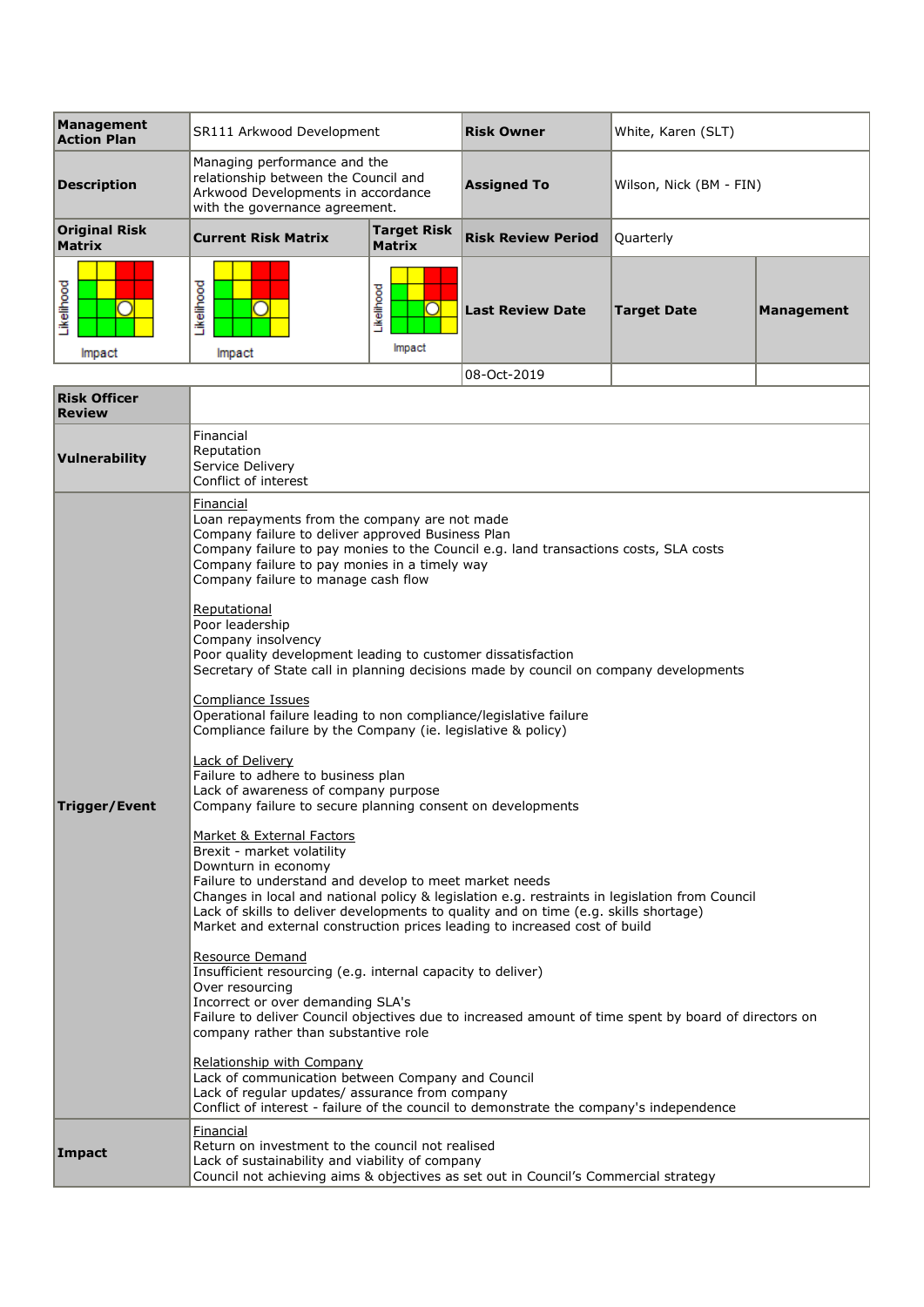| Management<br><b>Action Plan</b>      | SR111 Arkwood Development                                                                                                                    |                                     | <b>Risk Owner</b>         | White, Karen (SLT)      |            |
|---------------------------------------|----------------------------------------------------------------------------------------------------------------------------------------------|-------------------------------------|---------------------------|-------------------------|------------|
| <b>Description</b>                    | Managing performance and the<br>relationship between the Council and<br>Arkwood Developments in accordance<br>with the governance agreement. |                                     | <b>Assigned To</b>        | Wilson, Nick (BM - FIN) |            |
| <b>Original Risk</b><br><b>Matrix</b> | <b>Current Risk Matrix</b>                                                                                                                   | <b>Target Risk</b><br><b>Matrix</b> | <b>Risk Review Period</b> | Quarterly               |            |
| ikelihood<br>Impact                   | Likelihood<br>Impact                                                                                                                         | Likelihood<br>Impact                | <b>Last Review Date</b>   | <b>Target Date</b>      | Management |
|                                       |                                                                                                                                              |                                     | 08-0ct-2019               |                         |            |

|                                      | UU ULL ZUIS                                                                                                                                                                                                                                                                                                                                                                                                      |  |  |  |  |  |
|--------------------------------------|------------------------------------------------------------------------------------------------------------------------------------------------------------------------------------------------------------------------------------------------------------------------------------------------------------------------------------------------------------------------------------------------------------------|--|--|--|--|--|
| <b>Risk Officer</b><br><b>Review</b> |                                                                                                                                                                                                                                                                                                                                                                                                                  |  |  |  |  |  |
| Vulnerability                        | Financial<br>Reputation<br>Service Delivery<br>Conflict of interest                                                                                                                                                                                                                                                                                                                                              |  |  |  |  |  |
|                                      | Financial<br>Loan repayments from the company are not made<br>Company failure to deliver approved Business Plan<br>Company failure to pay monies to the Council e.g. land transactions costs, SLA costs<br>Company failure to pay monies in a timely way<br>Company failure to manage cash flow                                                                                                                  |  |  |  |  |  |
|                                      | Reputational<br>Poor leadership<br>Company insolvency<br>Poor quality development leading to customer dissatisfaction<br>Secretary of State call in planning decisions made by council on company developments                                                                                                                                                                                                   |  |  |  |  |  |
|                                      | Compliance Issues<br>Operational failure leading to non compliance/legislative failure<br>Compliance failure by the Company (ie. legislative & policy)                                                                                                                                                                                                                                                           |  |  |  |  |  |
| Trigger/Event                        | Lack of Delivery<br>Failure to adhere to business plan<br>Lack of awareness of company purpose<br>Company failure to secure planning consent on developments                                                                                                                                                                                                                                                     |  |  |  |  |  |
|                                      | Market & External Factors<br>Brexit - market volatility<br>Downturn in economy<br>Failure to understand and develop to meet market needs<br>Changes in local and national policy & legislation e.g. restraints in legislation from Council<br>Lack of skills to deliver developments to quality and on time (e.g. skills shortage)<br>Market and external construction prices leading to increased cost of build |  |  |  |  |  |
|                                      | Resource Demand<br>Insufficient resourcing (e.g. internal capacity to deliver)<br>Over resourcing<br>Incorrect or over demanding SLA's<br>Failure to deliver Council objectives due to increased amount of time spent by board of directors on<br>company rather than substantive role                                                                                                                           |  |  |  |  |  |
|                                      | <b>Relationship with Company</b><br>Lack of communication between Company and Council<br>Lack of regular updates/ assurance from company<br>Conflict of interest - failure of the council to demonstrate the company's independence                                                                                                                                                                              |  |  |  |  |  |
| <b>Impact</b>                        | Financial<br>Return on investment to the council not realised<br>Lack of sustainability and viability of company<br>Council not achieving aims & objectives as set out in Council's Commercial strategy                                                                                                                                                                                                          |  |  |  |  |  |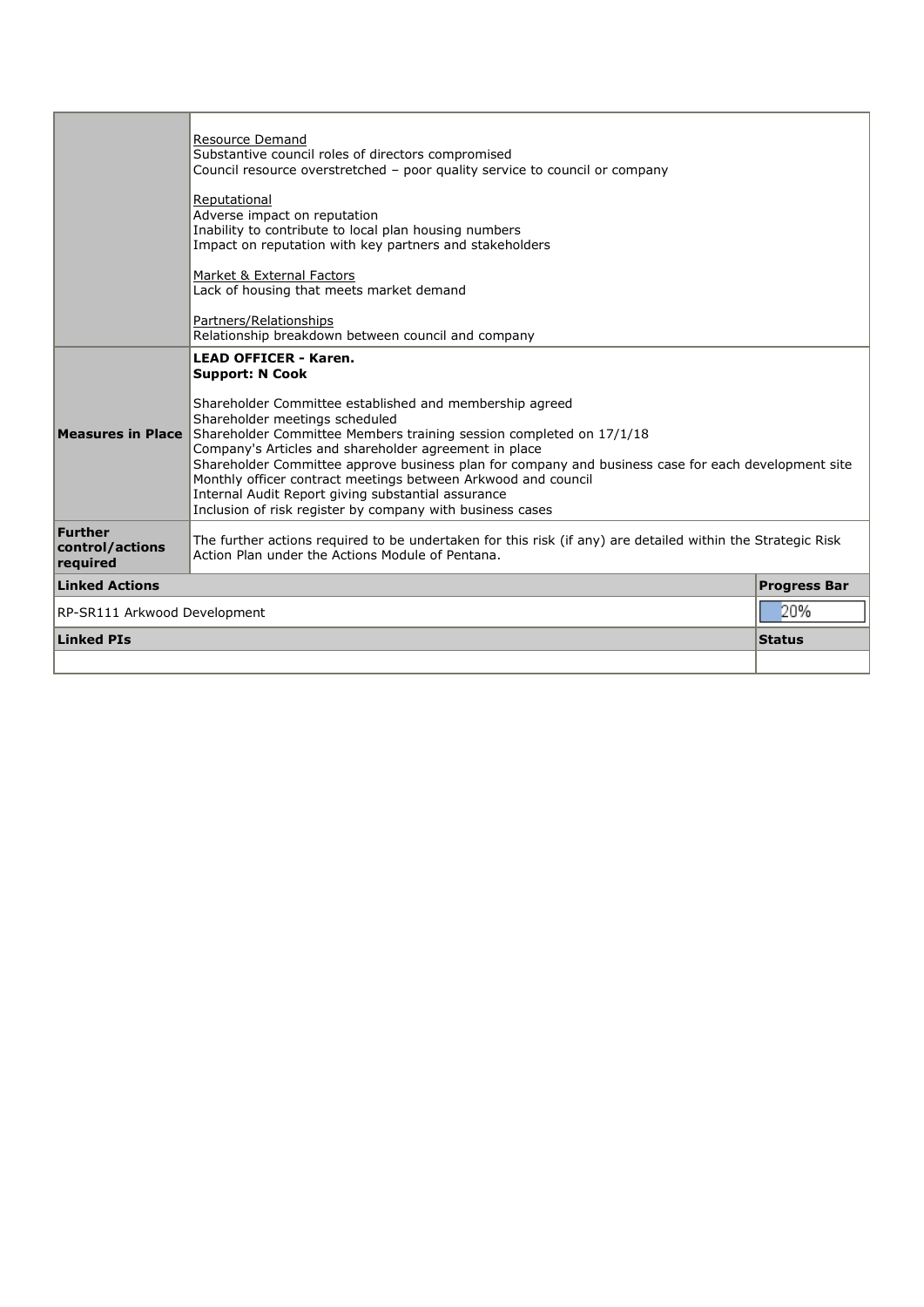|                                        | Resource Demand<br>Substantive council roles of directors compromised<br>Council resource overstretched - poor quality service to council or company<br>Reputational<br>Adverse impact on reputation<br>Inability to contribute to local plan housing numbers<br>Impact on reputation with key partners and stakeholders<br>Market & External Factors<br>Lack of housing that meets market demand<br>Partners/Relationships<br>Relationship breakdown between council and company                                                                                              |                     |
|----------------------------------------|--------------------------------------------------------------------------------------------------------------------------------------------------------------------------------------------------------------------------------------------------------------------------------------------------------------------------------------------------------------------------------------------------------------------------------------------------------------------------------------------------------------------------------------------------------------------------------|---------------------|
| <b>Measures in Place</b>               | <b>LEAD OFFICER - Karen.</b><br><b>Support: N Cook</b><br>Shareholder Committee established and membership agreed<br>Shareholder meetings scheduled<br>Shareholder Committee Members training session completed on 17/1/18<br>Company's Articles and shareholder agreement in place<br>Shareholder Committee approve business plan for company and business case for each development site<br>Monthly officer contract meetings between Arkwood and council<br>Internal Audit Report giving substantial assurance<br>Inclusion of risk register by company with business cases |                     |
| Further<br>control/actions<br>required | The further actions required to be undertaken for this risk (if any) are detailed within the Strategic Risk<br>Action Plan under the Actions Module of Pentana.                                                                                                                                                                                                                                                                                                                                                                                                                |                     |
| <b>Linked Actions</b>                  |                                                                                                                                                                                                                                                                                                                                                                                                                                                                                                                                                                                | <b>Progress Bar</b> |
| 20%<br>RP-SR111 Arkwood Development    |                                                                                                                                                                                                                                                                                                                                                                                                                                                                                                                                                                                |                     |
| <b>Linked PIs</b>                      |                                                                                                                                                                                                                                                                                                                                                                                                                                                                                                                                                                                | <b>Status</b>       |
|                                        |                                                                                                                                                                                                                                                                                                                                                                                                                                                                                                                                                                                |                     |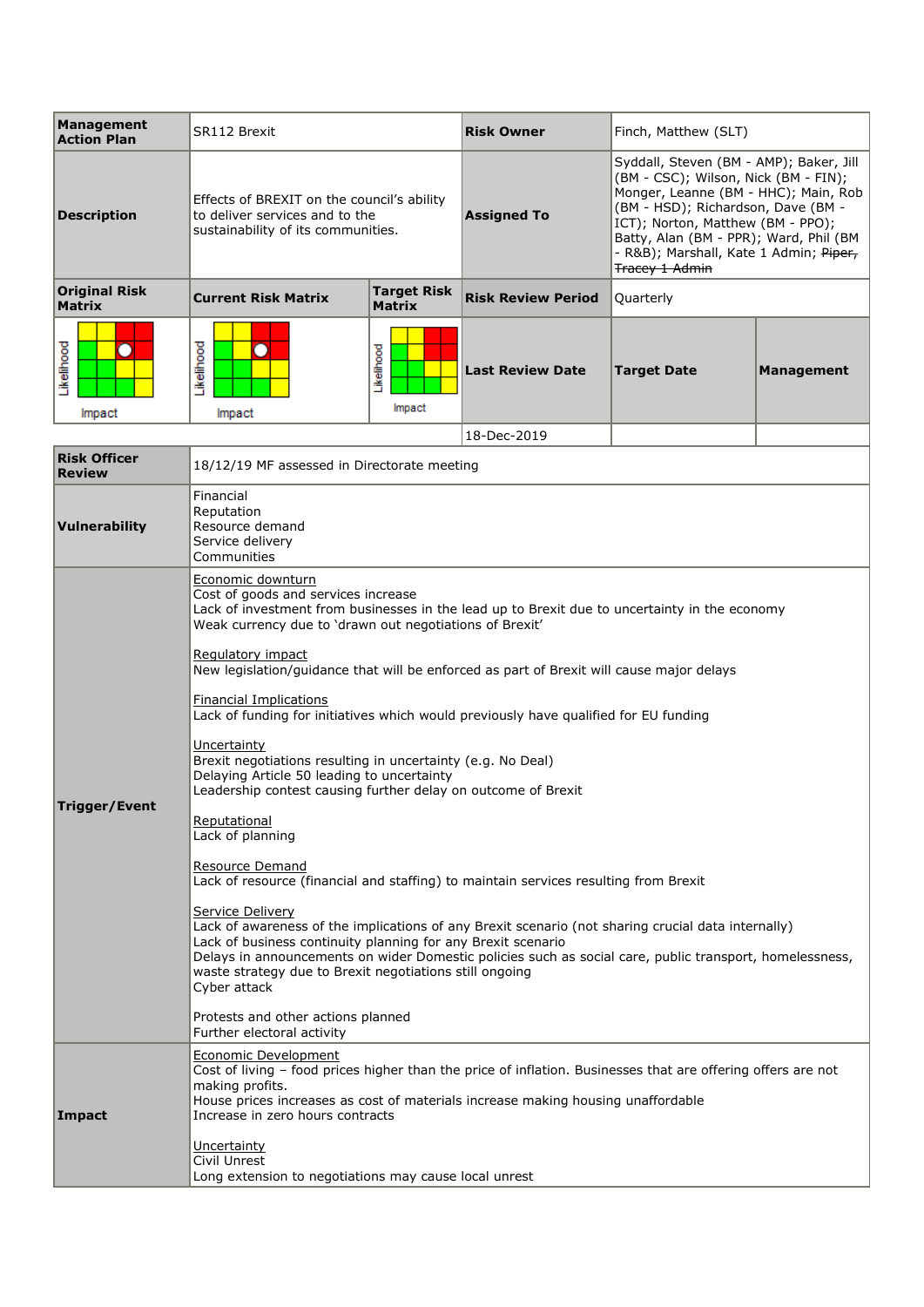| <b>Management</b><br><b>Action Plan</b> | SR112 Brexit                                                                                                       |                                     | <b>Risk Owner</b>         | Finch, Matthew (SLT)                                                                                                                                                                                                                                                                                            |                   |
|-----------------------------------------|--------------------------------------------------------------------------------------------------------------------|-------------------------------------|---------------------------|-----------------------------------------------------------------------------------------------------------------------------------------------------------------------------------------------------------------------------------------------------------------------------------------------------------------|-------------------|
| Description                             | Effects of BREXIT on the council's ability<br>to deliver services and to the<br>sustainability of its communities. |                                     | <b>Assigned To</b>        | Syddall, Steven (BM - AMP); Baker, Jill<br>(BM - CSC); Wilson, Nick (BM - FIN);<br>Monger, Leanne (BM - HHC); Main, Rob<br>(BM - HSD); Richardson, Dave (BM -<br>ICT); Norton, Matthew (BM - PPO);<br>Batty, Alan (BM - PPR); Ward, Phil (BM<br>- R&B); Marshall, Kate 1 Admin; Piper,<br><b>Tracey 1 Admin</b> |                   |
| <b>Original Risk</b><br><b>Matrix</b>   | <b>Current Risk Matrix</b>                                                                                         | <b>Target Risk</b><br><b>Matrix</b> | <b>Risk Review Period</b> | Quarterly                                                                                                                                                                                                                                                                                                       |                   |
| .ikelihood<br>Impact                    | ikelihood<br>Impact                                                                                                | Likelihood<br>Impact                | <b>Last Review Date</b>   | <b>Target Date</b>                                                                                                                                                                                                                                                                                              | <b>Management</b> |
|                                         |                                                                                                                    |                                     | 18-Dec-2019               |                                                                                                                                                                                                                                                                                                                 |                   |
| <b>Risk Officer</b>                     | 18/12/19 ME assessed in Directorate meeting                                                                        |                                     |                           |                                                                                                                                                                                                                                                                                                                 |                   |

| NDN VI<br><b>Review</b> | 18/12/19 MF assessed in Directorate meeting                                                                                                                                                                                                                                                                                                                                                                                                                                                                                                                                                                                                                                                                                                                                                                                                                                                                                                                                                                                                                                                                                                                                                                                                                    |  |  |  |  |
|-------------------------|----------------------------------------------------------------------------------------------------------------------------------------------------------------------------------------------------------------------------------------------------------------------------------------------------------------------------------------------------------------------------------------------------------------------------------------------------------------------------------------------------------------------------------------------------------------------------------------------------------------------------------------------------------------------------------------------------------------------------------------------------------------------------------------------------------------------------------------------------------------------------------------------------------------------------------------------------------------------------------------------------------------------------------------------------------------------------------------------------------------------------------------------------------------------------------------------------------------------------------------------------------------|--|--|--|--|
| Vulnerability           | Financial<br>Reputation<br>Resource demand<br>Service delivery<br>Communities                                                                                                                                                                                                                                                                                                                                                                                                                                                                                                                                                                                                                                                                                                                                                                                                                                                                                                                                                                                                                                                                                                                                                                                  |  |  |  |  |
| Trigger/Event           | Economic downturn<br>Cost of goods and services increase<br>Lack of investment from businesses in the lead up to Brexit due to uncertainty in the economy<br>Weak currency due to 'drawn out negotiations of Brexit'<br>Regulatory impact<br>New legislation/guidance that will be enforced as part of Brexit will cause major delays<br><b>Financial Implications</b><br>Lack of funding for initiatives which would previously have qualified for EU funding<br>Uncertainty<br>Brexit negotiations resulting in uncertainty (e.g. No Deal)<br>Delaying Article 50 leading to uncertainty<br>Leadership contest causing further delay on outcome of Brexit<br>Reputational<br>Lack of planning<br>Resource Demand<br>Lack of resource (financial and staffing) to maintain services resulting from Brexit<br>Service Delivery<br>Lack of awareness of the implications of any Brexit scenario (not sharing crucial data internally)<br>Lack of business continuity planning for any Brexit scenario<br>Delays in announcements on wider Domestic policies such as social care, public transport, homelessness,<br>waste strategy due to Brexit negotiations still ongoing<br>Cyber attack<br>Protests and other actions planned<br>Further electoral activity |  |  |  |  |
| Impact                  | Economic Development<br>Cost of living - food prices higher than the price of inflation. Businesses that are offering offers are not<br>making profits.<br>House prices increases as cost of materials increase making housing unaffordable<br>Increase in zero hours contracts<br>Uncertainty<br>Civil Unrest<br>Long extension to negotiations may cause local unrest                                                                                                                                                                                                                                                                                                                                                                                                                                                                                                                                                                                                                                                                                                                                                                                                                                                                                        |  |  |  |  |